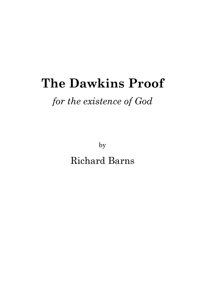# for the existence of God

by

Richard Barns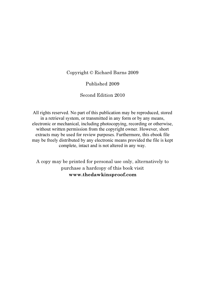#### Copyright © Richard Barns 2009

#### Published 2009

#### Second Edition 2010

All rights reserved. No part of this publication may be reproduced, stored in a retrieval system, or transmitted in any form or by any means, electronic or mechanical, including photocopying, recording or otherwise, without written permission from the copyright owner. However, short extracts may be used for review purposes. Furthermore, this ebook file may be freely distributed by any electronic means provided the file is kept complete, intact and is not altered in any way.

A copy may be printed for personal use only, alternatively to purchase a hardcopy of this book visit www.thedawkinsproof.com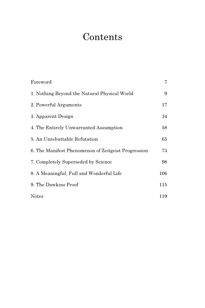# Contents

| Foreword                                            | 7   |
|-----------------------------------------------------|-----|
| 1. Nothing Beyond the Natural Physical World        | 9   |
| 2. Powerful Arguments                               | 17  |
| 3. Apparent Design                                  | 34  |
| 4. The Entirely Unwarranted Assumption              | 58  |
| 5. An Unrebuttable Refutation                       | 65  |
| 6. The Manifest Phenomenon of Zeitgeist Progression | 73  |
| 7. Completely Superseded by Science                 | 98  |
| 8. A Meaningful, Full and Wonderful Life            | 106 |
| 9. The Dawkins Proof                                | 115 |
| <b>Notes</b>                                        | 119 |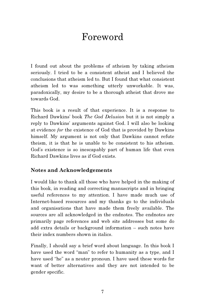# Foreword

I found out about the problems of atheism by taking atheism seriously. I tried to be a consistent atheist and I believed the conclusions that atheism led to. But I found that what consistent atheism led to was something utterly unworkable. It was, paradoxically, my desire to be a thorough atheist that drove me towards God.

This book is a result of that experience. It is a response to Richard Dawkins' book The God Delusion but it is not simply a reply to Dawkins' arguments against God. I will also be looking at evidence for the existence of God that is provided by Dawkins himself. My argument is not only that Dawkins cannot refute theism, it is that he is unable to be consistent to his atheism. God's existence is so inescapably part of human life that even Richard Dawkins lives as if God exists.

# Notes and Acknowledgements

I would like to thank all those who have helped in the making of this book, in reading and correcting manuscripts and in bringing useful references to my attention. I have made much use of Internet-based resources and my thanks go to the individuals and organisations that have made them freely available. The sources are all acknowledged in the endnotes. The endnotes are primarily page references and web site addresses but some do add extra details or background information – such notes have their index numbers shown in italics.

Finally, I should say a brief word about language. In this book I have used the word "man" to refer to humanity as a type, and I have used "he" as a neuter pronoun. I have used these words for want of better alternatives and they are not intended to be gender specific.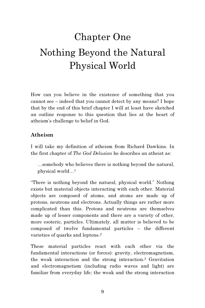# Chapter One Nothing Beyond the Natural Physical World

How can you believe in the existence of something that you cannot see – indeed that you cannot detect by any means? I hope that by the end of this brief chapter I will at least have sketched an outline response to this question that lies at the heart of atheism's challenge to belief in God.

### Atheism

I will take my definition of atheism from Richard Dawkins. In the first chapter of The God Delusion he describes an atheist as:

…somebody who believes there is nothing beyond the natural, physical world…<sup>1</sup>

"There is nothing beyond the natural, physical world." Nothing exists but material objects interacting with each other. Material objects are composed of atoms, and atoms are made up of protons, neutrons and electrons. Actually things are rather more complicated than this. Protons and neutrons are themselves made up of lesser components and there are a variety of other, more esoteric, particles. Ultimately, all matter is believed to be composed of twelve fundamental particles – the different varieties of quarks and leptons.<sup>2</sup>

These material particles react with each other via the fundamental interactions (or forces): gravity, electromagnetism, the weak interaction and the strong interaction.3 Gravitation and electromagnetism (including radio waves and light) are familiar from everyday life; the weak and the strong interaction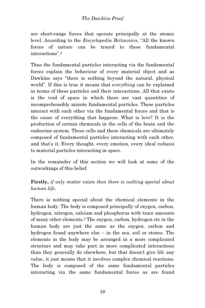are short-range forces that operate principally at the atomic level. According to the Encyclopedia Britannica, "All the known forces of nature can be traced to these fundamental interactions".<sup>4</sup>

Thus the fundamental particles interacting via the fundamental forces explain the behaviour of every material object and as Dawkins says "there is nothing beyond the natural, physical world". If this is true it means that everything can be explained in terms of these particles and their interactions. All that exists is the void of space in which there are vast quantities of incomprehensibly minute fundamental particles. These particles interact with each other via the fundamental forces and that is the cause of everything that happens. What is love? It is the production of certain chemicals in the cells of the brain and the endocrine system. These cells and these chemicals are ultimately composed of fundamental particles interacting with each other, and that's it. Every thought, every emotion, every ideal reduces to material particles interacting in space.

In the remainder of this section we will look at some of the outworkings of this belief.

### Firstly, if only matter exists then there is nothing special about human life.

There is nothing special about the chemical elements in the human body. The body is composed principally of oxygen, carbon, hydrogen, nitrogen, calcium and phosphorus with trace amounts of many other elements.5 The oxygen, carbon, hydrogen etc in the human body are just the same as the oxygen, carbon and hydrogen found anywhere else – in the sea, soil or stones. The elements in the body may be arranged in a more complicated structure and may take part in more complicated interactions than they generally do elsewhere, but that doesn't give life any value, it just means that it involves complex chemical reactions. The body is composed of the same fundamental particles interacting via the same fundamental forces as are found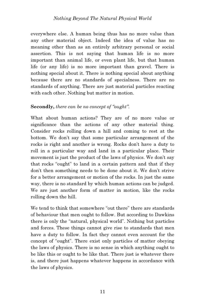everywhere else. A human being thus has no more value than any other material object. Indeed the idea of value has no meaning other than as an entirely arbitrary personal or social assertion. This is not saying that human life is no more important than animal life, or even plant life, but that human life (or any life) is no more important than gravel. There is nothing special about it. There is nothing special about anything because there are no standards of specialness. There are no standards of anything. There are just material particles reacting with each other. Nothing but matter in motion.

### Secondly, there can be no concept of "ought".

What about human actions? They are of no more value or significance than the actions of any other material thing. Consider rocks rolling down a hill and coming to rest at the bottom. We don't say that some particular arrangement of the rocks is right and another is wrong. Rocks don't have a duty to roll in a particular way and land in a particular place. Their movement is just the product of the laws of physics. We don't say that rocks "ought" to land in a certain pattern and that if they don't then something needs to be done about it. We don't strive for a better arrangement or motion of the rocks. In just the same way, there is no standard by which human actions can be judged. We are just another form of matter in motion, like the rocks rolling down the hill.

We tend to think that somewhere "out there" there are standards of behaviour that men ought to follow. But according to Dawkins there is only the "natural, physical world". Nothing but particles and forces. These things cannot give rise to standards that men have a duty to follow. In fact they cannot even account for the concept of "ought". There exist only particles of matter obeying the laws of physics. There is no sense in which anything ought to be like this or ought to be like that. There just is whatever there is, and there just happens whatever happens in accordance with the laws of physics.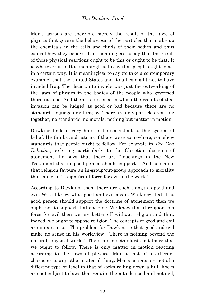Men's actions are therefore merely the result of the laws of physics that govern the behaviour of the particles that make up the chemicals in the cells and fluids of their bodies and thus control how they behave. It is meaningless to say that the result of those physical reactions ought to be this or ought to be that. It is whatever it is. It is meaningless to say that people ought to act in a certain way. It is meaningless to say (to take a contemporary example) that the United States and its allies ought not to have invaded Iraq. The decision to invade was just the outworking of the laws of physics in the bodies of the people who governed those nations. And there is no sense in which the results of that invasion can be judged as good or bad because there are no standards to judge anything by. There are only particles reacting together; no standards, no morals, nothing but matter in motion.

Dawkins finds it very hard to be consistent to this system of belief. He thinks and acts as if there were somewhere, somehow standards that people ought to follow. For example in The God Delusion, referring particularly to the Christian doctrine of atonement, he says that there are "teachings in the New Testament that no good person should support".6 And he claims that religion favours an in-group/out-group approach to morality that makes it "a significant force for evil in the world".<sup>7</sup>

According to Dawkins, then, there are such things as good and evil. We all know what good and evil mean. We know that if no good person should support the doctrine of atonement then we ought not to support that doctrine. We know that if religion is a force for evil then we are better off without religion and that, indeed, we ought to oppose religion. The concepts of good and evil are innate in us. The problem for Dawkins is that good and evil make no sense in his worldview. "There is nothing beyond the natural, physical world." There are no standards out there that we ought to follow. There is only matter in motion reacting according to the laws of physics. Man is not of a different character to any other material thing. Men's actions are not of a different type or level to that of rocks rolling down a hill. Rocks are not subject to laws that require them to do good and not evil;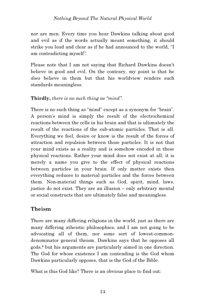#### Nothing Beyond The Natural Physical World

nor are men. Every time you hear Dawkins talking about good and evil as if the words actually meant something, it should strike you loud and clear as if he had announced to the world, "I am contradicting myself ".

Please note that I am not saying that Richard Dawkins doesn't believe in good and evil. On the contrary, my point is that he does believe in them but that his worldview renders such standards meaningless.

#### Thirdly, there is no such thing as "mind".

There is no such thing as "mind" except as a synonym for "brain". A person's mind is simply the result of the electrochemical reactions between the cells in his brain and that is ultimately the result of the reactions of the sub-atomic particles. That is all. Everything we feel, desire or know is the result of the forces of attraction and repulsion between those particles. It is not that your mind exists as a reality and is somehow encoded in these physical reactions. Rather your mind does not exist at all; it is merely a name you give to the effect of physical reactions between particles in your brain. If only matter exists then everything reduces to material particles and the forces between them. Non-material things such as God, spirit, mind, laws, justice do not exist. They are an illusion – only arbitrary mental or social constructs that are ultimately false and meaningless.

# Theism

There are many differing religions in the world, just as there are many differing atheistic philosophies, and I am not going to be advocating all of them, nor some sort of lowest-commondenominator general theism. Dawkins says that he opposes all gods,8 but his arguments are particularly aimed in one direction. The God for whose existence I am contending is the God whom Dawkins particularly opposes, that is the God of the Bible.

What is this God like? There is an obvious place to find out: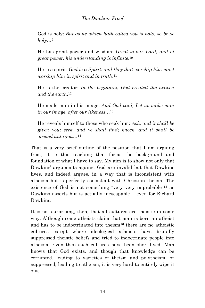God is holy: But as he which hath called you is holy, so be ye  $holv...<sup>9</sup>$ 

He has great power and wisdom: Great is our Lord, and of great power: his understanding is infinite.<sup>10</sup>

He is a spirit: God is a Spirit: and they that worship him must worship him in spirit and in truth.<sup>11</sup>

He is the creator: In the beginning God created the heaven and the earth.<sup>12</sup>

He made man in his image: And God said, Let us make man in our image, after our likeness…<sup>13</sup>

He reveals himself to those who seek him: Ask, and it shall be given you; seek, and ye shall find; knock, and it shall be opened unto you…<sup>14</sup>

That is a very brief outline of the position that I am arguing from; it is this teaching that forms the background and foundation of what I have to say. My aim is to show not only that Dawkins' arguments against God are invalid but that Dawkins lives, and indeed argues, in a way that is inconsistent with atheism but is perfectly consistent with Christian theism. The existence of God is not something "very very improbable"15 as Dawkins asserts but is actually inescapable – even for Richard Dawkins.

It is not surprising, then, that all cultures are theistic in some way. Although some atheists claim that man is born an atheist and has to be indoctrinated into theism16 there are no atheistic cultures except where ideological atheists have brutally suppressed theistic beliefs and tried to indoctrinate people into atheism. Even then such cultures have been short-lived. Man knows that God exists, and though that knowledge can be corrupted, leading to varieties of theism and polytheism, or suppressed, leading to atheism, it is very hard to entirely wipe it out.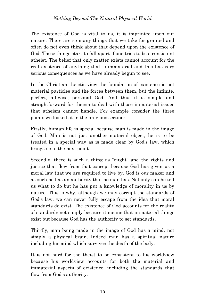The existence of God is vital to us, it is imprinted upon our nature. There are so many things that we take for granted and often do not even think about that depend upon the existence of God. Those things start to fall apart if one tries to be a consistent atheist. The belief that only matter exists cannot account for the real existence of anything that is immaterial and this has very serious consequences as we have already begun to see.

In the Christian theistic view the foundation of existence is not material particles and the forces between them, but the infinite, perfect, all-wise, personal God. And thus it is simple and straightforward for theism to deal with those immaterial issues that atheism cannot handle. For example consider the three points we looked at in the previous section:

Firstly, human life is special because man is made in the image of God. Man is not just another material object, he is to be treated in a special way as is made clear by God's law, which brings us to the next point.

Secondly, there is such a thing as "ought" and the rights and justice that flow from that concept because God has given us a moral law that we are required to live by. God is our maker and as such he has an authority that no man has. Not only can he tell us what to do but he has put a knowledge of morality in us by nature. This is why, although we may corrupt the standards of God's law, we can never fully escape from the idea that moral standards do exist. The existence of God accounts for the reality of standards not simply because it means that immaterial things exist but because God has the authority to set standards.

Thirdly, man being made in the image of God has a mind, not simply a physical brain. Indeed man has a spiritual nature including his mind which survives the death of the body.

It is not hard for the theist to be consistent to his worldview because his worldview accounts for both the material and immaterial aspects of existence, including the standards that flow from God's authority.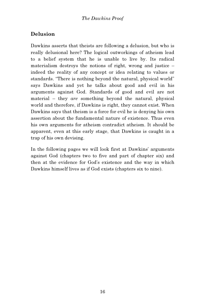# Delusion

Dawkins asserts that theists are following a delusion, but who is really delusional here? The logical outworkings of atheism lead to a belief system that he is unable to live by. Its radical materialism destroys the notions of right, wrong and justice – indeed the reality of any concept or idea relating to values or standards. "There is nothing beyond the natural, physical world" says Dawkins and yet he talks about good and evil in his arguments against God. Standards of good and evil are not material – they are something beyond the natural, physical world and therefore, if Dawkins is right, they cannot exist. When Dawkins says that theism is a force for evil he is denying his own assertion about the fundamental nature of existence. Thus even his own arguments for atheism contradict atheism. It should be apparent, even at this early stage, that Dawkins is caught in a trap of his own devising.

In the following pages we will look first at Dawkins' arguments against God (chapters two to five and part of chapter six) and then at the evidence for God's existence and the way in which Dawkins himself lives as if God exists (chapters six to nine).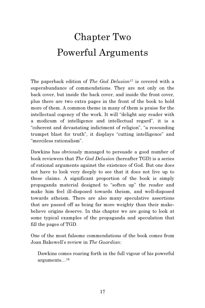# Chapter Two Powerful Arguments

The paperback edition of The God Delusion<sup>17</sup> is covered with a superabundance of commendations. They are not only on the back cover, but inside the back cover, and inside the front cover, plus there are two extra pages in the front of the book to hold more of them. A common theme in many of them is praise for the intellectual cogency of the work. It will "delight any reader with a modicum of intelligence and intellectual regard", it is a "coherent and devastating indictment of religion", "a resounding trumpet blast for truth", it displays "cutting intelligence" and "merciless rationalism".

Dawkins has obviously managed to persuade a good number of book reviewers that The God Delusion (hereafter TGD) is a series of rational arguments against the existence of God. But one does not have to look very deeply to see that it does not live up to these claims. A significant proportion of the book is simply propaganda material designed to "soften up" the reader and make him feel ill-disposed towards theism, and well-disposed towards atheism. There are also many speculative assertions that are passed off as being far more weighty than their makebelieve origins deserve. In this chapter we are going to look at some typical examples of the propaganda and speculation that fill the pages of TGD.

One of the most fulsome commendations of the book comes from Joan Bakewell's review in The Guardian:

Dawkins comes roaring forth in the full vigour of his powerful arguments…18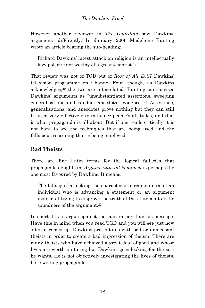However another reviewer in The Guardian saw Dawkins' arguments differently. In January 2006 Madeleine Bunting wrote an article bearing the sub-heading:

Richard Dawkins' latest attack on religion is an intellectually lazy polemic not worthy of a great scientist.<sup>19</sup>

That review was not of TGD but of Root of All Evil? Dawkins' television programme on Channel Four; though, as Dawkins acknowledges,20 the two are interrelated. Bunting summarises Dawkins' arguments as "unsubstantiated assertions, sweeping generalisations and random anecdotal evidence".21 Assertions, generalisations, and anecdotes prove nothing but they can still be used very effectively to influence people's attitudes, and that is what propaganda is all about. But if one reads critically it is not hard to see the techniques that are being used and the fallacious reasoning that is being employed.

# Bad Theists

There are fine Latin terms for the logical fallacies that propaganda delights in. Argumentum ad hominem is perhaps the one most favoured by Dawkins. It means:

The fallacy of attacking the character or circumstances of an individual who is advancing a statement or an argument instead of trying to disprove the truth of the statement or the soundness of the argument.<sup>22</sup>

In short it is to argue against the man rather than his message. Have this in mind when you read TGD and you will see just how often it comes up. Dawkins presents us with odd or unpleasant theists in order to create a bad impression of theism. There are many theists who have achieved a great deal of good and whose lives are worth imitating but Dawkins goes looking for the sort he wants. He is not objectively investigating the lives of theists, he is writing propaganda.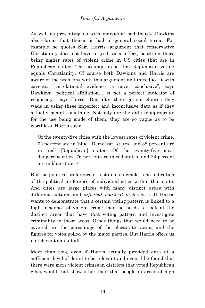As well as presenting us with individual bad theists Dawkins also claims that theism is bad in general social terms. For example he quotes Sam Harris' argument that conservative Christianity does not have a good social effect, based on there being higher rates of violent crime in US cities that are in Republican states. The assumption is that Republican voting equals Christianity. Of course both Dawkins and Harris are aware of the problems with this argument and introduce it with caveats: "correlational evidence is never conclusive", says Dawkins; "political affiliation… is not a perfect indicator of religiosity", says Harris. But after their get-out clauses they wade in using these imperfect and inconclusive data as if they actually meant something. Not only are the data inappropriate for the use being made of them, they are so vague as to be worthless. Harris says:

Of the twenty-five cities with the lowest rates of violent crime, 62 percent are in 'blue' [Democrat] states, and 38 percent are in 'red' [Republican] states. Of the twenty-five most dangerous cities, 76 percent are in red states, and 24 percent are in blue states.<sup>23</sup>

But the political preference of a state as a whole is no indication of the political preference of individual cities within that state. And cities are large places with many distinct areas with different cultures and different political preferences. If Harris wants to demonstrate that a certain voting pattern is linked to a high incidence of violent crime then he needs to look at the distinct areas that have that voting pattern and investigate criminality in those areas. Other things that would need to be covered are the percentage of the electorate voting and the figures for votes polled by the major parties. But Harris offers us no relevant data at all.

More than this, even if Harris actually provided data at a sufficient level of detail to be relevant and even if he found that there were more violent crimes in districts that voted Republican what would that show other than that people in areas of high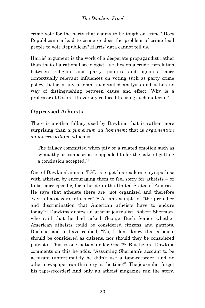crime vote for the party that claims to be tough on crime? Does Republicanism lead to crime or does the problem of crime lead people to vote Republican? Harris' data cannot tell us.

Harris' argument is the work of a desperate propagandist rather than that of a rational sociologist. It relies on a crude correlation between religion and party politics and ignores more contextually relevant influences on voting such as party crime policy. It lacks any attempt at detailed analysis and it has no way of distinguishing between cause and effect. Why is a professor at Oxford University reduced to using such material?

# Oppressed Atheists

There is another fallacy used by Dawkins that is rather more surprising than *argumentum ad hominem*; that is *argumentum* ad misericordiam, which is:

The fallacy committed when pity or a related emotion such as sympathy or compassion is appealed to for the sake of getting a conclusion accepted.<sup>24</sup>

One of Dawkins' aims in TGD is to get his readers to sympathise with atheism by encouraging them to feel sorry for atheists – or to be more specific, for atheists in the United States of America. He says that atheists there are "not organized and therefore exert almost zero influence".<sup>25</sup> As an example of "the prejudice" and discrimination that American atheists have to endure today"26 Dawkins quotes an atheist journalist, Robert Sherman, who said that he had asked George Bush Senior whether American atheists could be considered citizens and patriots. Bush is said to have replied, "No, I don't know that atheists should be considered as citizens, nor should they be considered patriots. This is one nation under God."27 But before Dawkins comments on this he adds, "Assuming Sherman's account to be accurate (unfortunately he didn't use a tape-recorder, and no other newspaper ran the story at the time)". The journalist forgot his tape-recorder! And only an atheist magazine ran the story.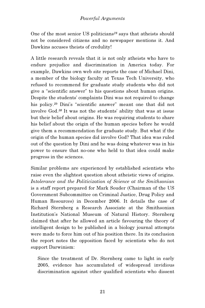One of the most senior US politicians<sup>28</sup> says that atheists should not be considered citizens and no newspaper mentions it. And Dawkins accuses theists of credulity!

A little research reveals that it is not only atheists who have to endure prejudice and discrimination in America today. For example, Dawkins own web site reports the case of Michael Dini, a member of the biology faculty at Texas Tech University, who refused to recommend for graduate study students who did not give a "scientific answer" to his questions about human origins. Despite the students' complaints Dini was not required to change his policy.<sup>29</sup> Dini's "scientific answer" meant one that did not involve God.<sup>30</sup> It was not the students' ability that was at issue but their belief about origins. He was requiring students to share his belief about the origin of the human species before he would give them a recommendation for graduate study. But what if the origin of the human species did involve God? That idea was ruled out of the question by Dini and he was doing whatever was in his power to ensure that no-one who held to that idea could make progress in the sciences.

Similar problems are experienced by established scientists who raise even the slightest question about atheistic views of origins. Intolerance and the Politicization of Science at the Smithsonian is a staff report prepared for Mark Souder (Chairman of the US Government Subcommittee on Criminal Justice, Drug Policy and Human Resources) in December 2006. It details the case of Richard Sternberg a Research Associate at the Smithsonian Institution's National Museum of Natural History. Sternberg claimed that after he allowed an article favouring the theory of intelligent design to be published in a biology journal attempts were made to force him out of his position there. In its conclusion the report notes the opposition faced by scientists who do not support Darwinism:

Since the treatment of Dr. Sternberg came to light in early 2005, evidence has accumulated of widespread invidious discrimination against other qualified scientists who dissent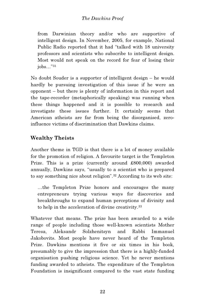from Darwinian theory and/or who are supportive of intelligent design. In November, 2005, for example, National Public Radio reported that it had "talked with 18 university professors and scientists who subscribe to intelligent design. Most would not speak on the record for fear of losing their jobs…"<sup>31</sup>

No doubt Souder is a supporter of intelligent design – he would hardly be pursuing investigation of this issue if he were an opponent – but there is plenty of information in this report and the tape-recorder (metaphorically speaking) was running when these things happened and it is possible to research and investigate these issues further. It certainly seems that American atheists are far from being the disorganised, zeroinfluence victims of discrimination that Dawkins claims.

# Wealthy Theists

Another theme in TGD is that there is a lot of money available for the promotion of religion. A favourite target is the Templeton Prize. This is a prize (currently around £800,000) awarded annually, Dawkins says, "usually to a scientist who is prepared to say something nice about religion".32 According to its web site:

…the Templeton Prize honors and encourages the many entrepreneurs trying various ways for discoveries and breakthroughs to expand human perceptions of divinity and to help in the acceleration of divine creativity.<sup>33</sup>

Whatever that means. The prize has been awarded to a wide range of people including those well-known scientists Mother Teresa, Aleksandr Solzhenitsyn and Rabbi Immanuel Jakobovits. Most people have never heard of the Templeton Prize. Dawkins mentions it five or six times in his book, presumably to give the impression that there is a highly-funded organisation pushing religious science. Yet he never mentions funding awarded to atheists. The expenditure of the Templeton Foundation is insignificant compared to the vast state funding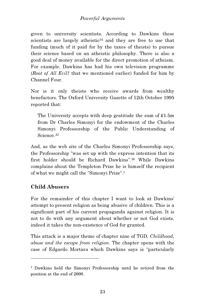given to university scientists. According to Dawkins these scientists are largely atheistic<sup>34</sup> and they are free to use that funding (much of it paid for by the taxes of theists) to pursue their science based on an atheistic philosophy. There is also a good deal of money available for the direct promotion of atheism. For example, Dawkins has had his own television programme (Root of All Evil? that we mentioned earlier) funded for him by Channel Four.

Nor is it only theists who receive awards from wealthy benefactors. The Oxford University Gazette of 12th October 1995 reported that:

The University accepts with deep gratitude the sum of £1.5m from Dr Charles Simonyi for the endowment of the Charles Simonyi Professorship of the Public Understanding of Science<sup>35</sup>

And, as the web site of the Charles Simonyi Professorship says, the Professorship "was set up with the express intention that its first holder should be Richard Dawkins".36 While Dawkins complains about the Templeton Prize he is himself the recipient of what we might call the "Simonyi Prize".†

# Child Abusers

j

For the remainder of this chapter I want to look at Dawkins' attempt to present religion as being abusive of children. This is a significant part of his current propaganda against religion. It is not to do with any argument about whether or not God exists, indeed it takes the non-existence of God for granted.

This attack is a major theme of chapter nine of TGD, *Childhood*, abuse and the escape from religion. The chapter opens with the case of Edgardo Mortara which Dawkins says is "particularly

<sup>†</sup> Dawkins held the Simonyi Professorship until he retired from the position at the end of 2008.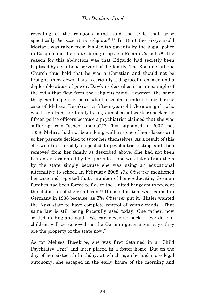revealing of the religious mind, and the evils that arise specifically *because* it is religious".<sup>37</sup> In 1858 the six-year-old Mortara was taken from his Jewish parents by the papal police in Bologna and thereafter brought up as a Roman Catholic.38 The reason for this abduction was that Edgardo had secretly been baptised by a Catholic servant of the family. The Roman Catholic Church thus held that he was a Christian and should not be brought up by Jews. This is certainly a disgraceful episode and a deplorable abuse of power. Dawkins describes it as an example of the evils that flow from the religious mind. However, the same thing can happen as the result of a secular mindset. Consider the case of Melissa Busekros, a fifteen-year-old German girl, who was taken from her family by a group of social workers backed by fifteen police officers because a psychiatrist claimed that she was suffering from "school phobia".<sup>39</sup> This happened in 2007, not 1858. Melissa had not been doing well in some of her classes and so her parents decided to tutor her themselves. As a result of this she was first forcibly subjected to psychiatric testing and then removed from her family as described above. She had not been beaten or tormented by her parents – she was taken from them by the state simply because she was using an educational alternative to school. In February 2008 The Observer mentioned her case and reported that a number of home-educating German families had been forced to flee to the United Kingdom to prevent the abduction of their children.40 Home education was banned in Germany in 1938 because, as The Observer put it, "Hitler wanted the Nazi state to have complete control of young minds". That same law is still being forcefully used today. One father, now settled in England said, "We can never go back. If we do, our children will be removed, as the German government says they are the property of the state now."

As for Melissa Busekros, she was first detained in a "Child Psychiatry Unit" and later placed in a foster home. But on the day of her sixteenth birthday, at which age she had more legal autonomy, she escaped in the early hours of the morning and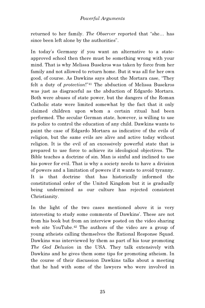#### Powerful Arguments

returned to her family. The Observer reported that "she... has since been left alone by the authorities".

In today's Germany if you want an alternative to a stateapproved school then there must be something wrong with your mind. That is why Melissa Busekros was taken by force from her family and not allowed to return home. But it was all for her own good, of course. As Dawkins says about the Mortara case, "They felt a duty of *protection*!"<sup>41</sup> The abduction of Melissa Busekros was just as disgraceful as the abduction of Edgardo Mortara. Both were abuses of state power, but the dangers of the Roman Catholic state were limited somewhat by the fact that it only claimed children upon whom a certain ritual had been performed. The secular German state, however, is willing to use its police to control the education of any child. Dawkins wants to paint the case of Edgardo Mortara as indicative of the evils of religion, but the same evils are alive and active today without religion. It is the evil of an excessively powerful state that is prepared to use force to achieve its ideological objectives. The Bible teaches a doctrine of sin. Man is sinful and inclined to use his power for evil. That is why a society needs to have a division of powers and a limitation of powers if it wants to avoid tyranny. It is that doctrine that has historically informed the constitutional order of the United Kingdom but it is gradually being undermined as our culture has rejected consistent Christianity.

In the light of the two cases mentioned above it is very interesting to study some comments of Dawkins'. These are not from his book but from an interview posted on the video sharing web site YouTube.42 The authors of the video are a group of young atheists calling themselves the Rational Response Squad. Dawkins was interviewed by them as part of his tour promoting The God Delusion in the USA. They talk extensively with Dawkins and he gives them some tips for promoting atheism. In the course of their discussion Dawkins talks about a meeting that he had with some of the lawyers who were involved in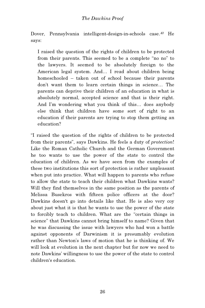Dover, Pennsylvania intelligent-design-in-schools case.<sup>43</sup> He says:

I raised the question of the rights of children to be protected from their parents. This seemed to be a complete "no no" to the lawyers. It seemed to be absolutely foreign to the American legal system. And… I read about children being homeschooled – taken out of school because their parents don't want them to learn certain things in science… The parents can deprive their children of an education in what is absolutely normal, accepted science and that is their right. And I'm wondering what you think of this… does anybody else think that children have some sort of right to an education if their parents are trying to stop them getting an education?

"I raised the question of the rights of children to be protected from their parents", says Dawkins. He feels a duty of *protection!* Like the Roman Catholic Church and the German Government he too wants to use the power of the state to control the education of children. As we have seen from the examples of these two institutions this sort of protection is rather unpleasant when put into practice. What will happen to parents who refuse to allow the state to teach their children what Dawkins wants? Will they find themselves in the same position as the parents of Melissa Busekros with fifteen police officers at the door? Dawkins doesn't go into details like that. He is also very coy about just what it is that he wants to use the power of the state to forcibly teach to children. What are the "certain things in science" that Dawkins cannot bring himself to name? Given that he was discussing the issue with lawyers who had won a battle against opponents of Darwinism it is presumably evolution rather than Newton's laws of motion that he is thinking of. We will look at evolution in the next chapter but for now we need to note Dawkins' willingness to use the power of the state to control children's education.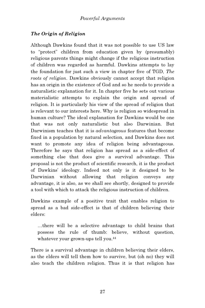# The Origin of Religion

Although Dawkins found that it was not possible to use US law to "protect" children from education given by (presumably) religious parents things might change if the religious instruction of children was regarded as harmful. Dawkins attempts to lay the foundation for just such a view in chapter five of TGD, The roots of religion. Dawkins obviously cannot accept that religion has an origin in the existence of God and so he needs to provide a naturalistic explanation for it. In chapter five he sets out various materialistic attempts to explain the origin and spread of religion. It is particularly his view of the spread of religion that is relevant to our interests here. Why is religion so widespread in human culture? The ideal explanation for Dawkins would be one that was not only naturalistic but also Darwinian. But Darwinism teaches that it is advantageous features that become fixed in a population by natural selection, and Dawkins does not want to promote any idea of religion being advantageous. Therefore he says that religion has spread as a side-effect of something else that does give a survival advantage. This proposal is not the product of scientific research, it is the product of Dawkins' ideology. Indeed not only is it designed to be Darwinian without allowing that religion conveys any advantage, it is also, as we shall see shortly, designed to provide a tool with which to attack the religious instruction of children.

Dawkins example of a positive trait that enables religion to spread as a bad side-effect is that of children believing their elders:

…there will be a selective advantage to child brains that possess the rule of thumb: believe, without question, whatever your grown-ups tell you.<sup>44</sup>

There is a survival advantage in children believing their elders, as the elders will tell them how to survive, but (oh no) they will also teach the children religion. Thus it is that religion has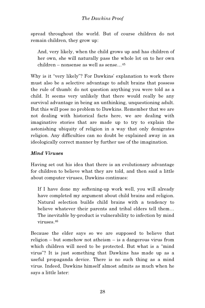spread throughout the world. But of course children do not remain children, they grow up:

And, very likely, when the child grows up and has children of her own, she will naturally pass the whole lot on to her own children – nonsense as well as sense…<sup>45</sup>

Why is it "very likely"? For Dawkins' explanation to work there must also be a selective advantage to adult brains that possess the rule of thumb: do not question anything you were told as a child. It seems very unlikely that there would really be any survival advantage in being an unthinking, unquestioning adult. But this will pose no problem to Dawkins. Remember that we are not dealing with historical facts here, we are dealing with imaginative stories that are made up to try to explain the astonishing ubiquity of religion in a way that only denigrates religion. Any difficulties can no doubt be explained away in an ideologically correct manner by further use of the imagination.

### Mind Viruses

Having set out his idea that there is an evolutionary advantage for children to believe what they are told, and then said a little about computer viruses, Dawkins continues:

If I have done my softening-up work well, you will already have completed my argument about child brains and religion. Natural selection builds child brains with a tendency to believe whatever their parents and tribal elders tell them… The inevitable by-product is vulnerability to infection by mind viruses.<sup>46</sup>

Because the elder says so we are supposed to believe that religion – but somehow not atheism – is a dangerous virus from which children will need to be protected. But what is a "mind virus"? It is just something that Dawkins has made up as a useful propaganda device. There is no such thing as a mind virus. Indeed, Dawkins himself almost admits as much when he says a little later: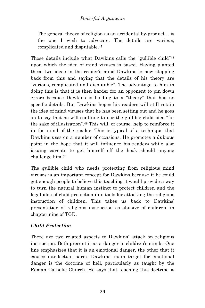The general theory of religion as an accidental by-product… is the one I wish to advocate. The details are various, complicated and disputable.<sup>47</sup>

Those details include what Dawkins calls the "gullible child"<sup>48</sup> upon which the idea of mind viruses is based. Having planted these two ideas in the reader's mind Dawkins is now stepping back from this and saying that the details of his theory are "various, complicated and disputable". The advantage to him in doing this is that it is then harder for an opponent to pin down errors because Dawkins is holding to a "theory" that has no specific details. But Dawkins hopes his readers will still retain the idea of mind viruses that he has been setting out and he goes on to say that he will continue to use the gullible child idea "for the sake of illustration".49 This will, of course, help to reinforce it in the mind of the reader. This is typical of a technique that Dawkins uses on a number of occasions. He promotes a dubious point in the hope that it will influence his readers while also issuing caveats to get himself off the hook should anyone challenge him.<sup>50</sup>

The gullible child who needs protecting from religious mind viruses is an important concept for Dawkins because if he could get enough people to believe this teaching it would provide a way to turn the natural human instinct to protect children and the legal idea of child protection into tools for attacking the religious instruction of children. This takes us back to Dawkins' presentation of religious instruction as abusive of children, in chapter nine of TGD.

### Child Protection

There are two related aspects to Dawkins' attack on religious instruction. Both present it as a danger to children's minds. One line emphasizes that it is an emotional danger, the other that it causes intellectual harm. Dawkins' main target for emotional danger is the doctrine of hell, particularly as taught by the Roman Catholic Church. He says that teaching this doctrine is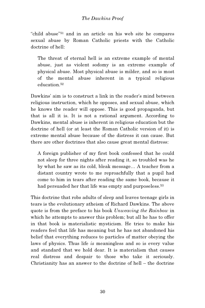"child abuse"51 and in an article on his web site he compares sexual abuse by Roman Catholic priests with the Catholic doctrine of hell:

The threat of eternal hell is an extreme example of mental abuse, just as violent sodomy is an extreme example of physical abuse. Most physical abuse is milder, and so is most of the mental abuse inherent in a typical religious education.<sup>52</sup>

Dawkins' aim is to construct a link in the reader's mind between religious instruction, which he opposes, and sexual abuse, which he knows the reader will oppose. This is good propaganda, but that is all it is. It is not a rational argument. According to Dawkins, mental abuse is inherent in religious education but the doctrine of hell (or at least the Roman Catholic version of it) is extreme mental abuse because of the distress it can cause. But there are other doctrines that also cause great mental distress:

A foreign publisher of my first book confessed that he could not sleep for three nights after reading it, so troubled was he by what he saw as its cold, bleak message… A teacher from a distant country wrote to me reproachfully that a pupil had come to him in tears after reading the same book, because it had persuaded her that life was empty and purposeless.<sup>53</sup>

This doctrine that robs adults of sleep and leaves teenage girls in tears is the evolutionary atheism of Richard Dawkins. The above quote is from the preface to his book Unweaving the Rainbow in which he attempts to answer this problem; but all he has to offer in that book is materialistic mysticism. He tries to make his readers feel that life has meaning but he has not abandoned his belief that everything reduces to particles of matter obeying the laws of physics. Thus life is meaningless and so is every value and standard that we hold dear. It is materialism that causes real distress and despair to those who take it seriously. Christianity has an answer to the doctrine of hell – the doctrine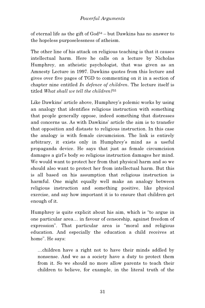of eternal life as the gift of  $God<sup>54</sup> – but Dawkins has no answer to$ the hopeless purposelessness of atheism.

The other line of his attack on religious teaching is that it causes intellectual harm. Here he calls on a lecture by Nicholas Humphrey, an atheistic psychologist, that was given as an Amnesty Lecture in 1997. Dawkins quotes from this lecture and gives over five pages of TGD to commenting on it in a section of chapter nine entitled In defence of children. The lecture itself is titled What shall we tell the children?<sup>55</sup>

Like Dawkins' article above, Humphrey's polemic works by using an analogy that identifies religious instruction with something that people generally oppose, indeed something that distresses and concerns us. As with Dawkins' article the aim is to transfer that opposition and distaste to religious instruction. In this case the analogy is with female circumcision. The link is entirely arbitrary, it exists only in Humphrey's mind as a useful propaganda device. He says that just as female circumcision damages a girl's body so religious instruction damages her mind. We would want to protect her from that physical harm and so we should also want to protect her from intellectual harm. But this is all based on his assumption that religious instruction is harmful. One might equally well make an analogy between religious instruction and something positive, like physical exercise, and say how important it is to ensure that children get enough of it.

Humphrey is quite explicit about his aim, which is "to argue in one particular area… in favour of censorship, against freedom of expression". That particular area is "moral and religious education. And especially the education a child receives at home". He says:

…children have a right not to have their minds addled by nonsense. And we as a society have a duty to protect them from it. So we should no more allow parents to teach their children to believe, for example, in the literal truth of the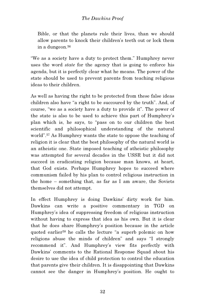Bible, or that the planets rule their lives, than we should allow parents to knock their children's teeth out or lock them in a dungeon.<sup>56</sup>

"We as a society have a duty to protect them." Humphrey never uses the word *state* for the agency that is going to enforce his agenda, but it is perfectly clear what he means. The power of the state should be used to prevent parents from teaching religious ideas to their children.

As well as having the right to be protected from these false ideas children also have "a right to be succoured by the truth". And, of course, "we as a society have a duty to provide it". The power of the state is also to be used to achieve this part of Humphrey's plan which is, he says, to "pass on to our children the best scientific and philosophical understanding of the natural world".57 As Humphrey wants the state to oppose the teaching of religion it is clear that the best philosophy of the natural world is an atheistic one. State imposed teaching of atheistic philosophy was attempted for several decades in the USSR but it did not succeed in eradicating religion because man knows, at heart, that God exists. Perhaps Humphrey hopes to succeed where communism failed by his plan to control religious instruction in the home – something that, as far as I am aware, the Soviets themselves did not attempt.

In effect Humphrey is doing Dawkins' dirty work for him. Dawkins can write a positive commentary in TGD on Humphrey's idea of suppressing freedom of religious instruction without having to express that idea as his own. But it is clear that he does share Humphrey's position because in the article quoted earlier<sup>58</sup> he calls the lecture "a superb polemic on how religions abuse the minds of children" and says "I strongly recommend it". And Humphrey's view fits perfectly with Dawkins' comments to the Rational Response Squad about his desire to use the idea of child protection to control the education that parents give their children. It is disappointing that Dawkins cannot see the danger in Humphrey's position. He ought to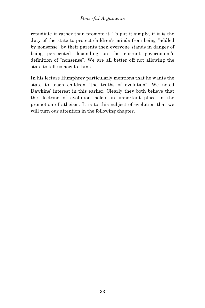#### Powerful Arguments

repudiate it rather than promote it. To put it simply, if it is the duty of the state to protect children's minds from being "addled by nonsense" by their parents then everyone stands in danger of being persecuted depending on the current government's definition of "nonsense". We are all better off not allowing the state to tell us how to think.

In his lecture Humphrey particularly mentions that he wants the state to teach children "the truths of evolution". We noted Dawkins' interest in this earlier. Clearly they both believe that the doctrine of evolution holds an important place in the promotion of atheism. It is to this subject of evolution that we will turn our attention in the following chapter.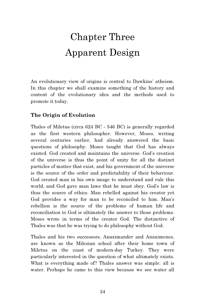# Chapter Three Apparent Design

An evolutionary view of origins is central to Dawkins' atheism. In this chapter we shall examine something of the history and content of the evolutionary idea and the methods used to promote it today.

# The Origin of Evolution

Thales of Miletus (circa 624 BC - 546 BC) is generally regarded as the first western philosopher. However, Moses, writing several centuries earlier, had already answered the basic questions of philosophy. Moses taught that God has always existed. God created and maintains the universe. God's creation of the universe is thus the point of unity for all the distinct particles of matter that exist, and his government of the universe is the source of the order and predictability of their behaviour. God created man in his own image to understand and rule this world, and God gave man laws that he must obey. God's law is thus the source of ethics. Man rebelled against his creator yet God provides a way for man to be reconciled to him. Man's rebellion is the source of the problems of human life and reconciliation to God is ultimately the answer to those problems. Moses wrote in terms of the creator God. The distinctive of Thales was that he was trying to do philosophy without God.

Thales and his two successors, Anaximander and Anaximenes, are known as the Milesian school after their home town of Miletus on the coast of modern-day Turkey. They were particularly interested in the question of what ultimately exists. What is everything made of? Thales answer was simple: all is water. Perhaps he came to this view because we see water all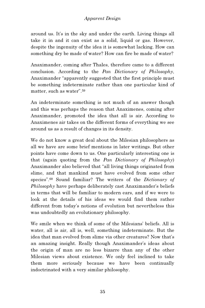#### Apparent Design

around us. It's in the sky and under the earth. Living things all take it in and it can exist as a solid, liquid or gas. However, despite the ingenuity of the idea it is somewhat lacking. How can something dry be made of water? How can fire be made of water?

Anaximander, coming after Thales, therefore came to a different conclusion. According to the Pan Dictionary of Philosophy, Anaximander "apparently suggested that the first principle must be something indeterminate rather than one particular kind of matter, such as water".<sup>59</sup>

An indeterminate something is not much of an answer though and this was perhaps the reason that Anaximenes, coming after Anaximander, promoted the idea that all is air. According to Anaximenes air takes on the different forms of everything we see around us as a result of changes in its density.

We do not know a great deal about the Milesian philosophers as all we have are some brief mentions in later writings. But other points have come down to us. One particularly interesting one is that (again quoting from the Pan Dictionary of Philosophy) Anaximander also believed that "all living things originated from slime, and that mankind must have evolved from some other species".60 Sound familiar? The writers of the Dictionary of Philosophy have perhaps deliberately cast Anaximander's beliefs in terms that will be familiar to modern ears, and if we were to look at the details of his ideas we would find them rather different from today's notions of evolution but nevertheless this was undoubtedly an evolutionary philosophy.

We smile when we think of some of the Milesians' beliefs. All is water, all is air, all is, well, something indeterminate. But the idea that man evolved from slime via other creatures? Now that's an amazing insight. Really though Anaximander's ideas about the origin of man are no less bizarre than any of the other Milesian views about existence. We only feel inclined to take them more seriously because we have been continually indoctrinated with a very similar philosophy.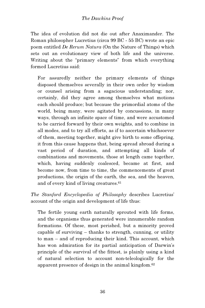The idea of evolution did not die out after Anaximander. The Roman philosopher Lucretius (circa 99 BC - 55 BC) wrote an epic poem entitled De Rerum Natura (On the Nature of Things) which sets out an evolutionary view of both life and the universe. Writing about the "primary elements" from which everything formed Lucretius said:

For assuredly neither the primary elements of things disposed themselves severally in their own order by wisdom or counsel arising from a sagacious understanding; nor, certainly, did they agree among themselves what motions each should produce; but because the primordial atoms of the world, being many, were agitated by concussions, in many ways, through an infinite space of time, and were accustomed to be carried forward by their own weights, and to combine in all modes, and to try all efforts, as if to ascertain whichsoever of them, meeting together, might give birth to some offspring, it from this cause happens that, being spread abroad during a vast period of duration, and attempting all kinds of combinations and movements, those at length came together, which, having suddenly coalesced, became at first, and become now, from time to time, the commencements of great productions, the origin of the earth, the sea, and the heaven, and of every kind of living creatures.<sup>61</sup>

The Stanford Encyclopedia of Philosophy describes Lucretius' account of the origin and development of life thus:

The fertile young earth naturally sprouted with life forms, and the organisms thus generated were innumerable random formations. Of these, most perished, but a minority proved capable of surviving – thanks to strength, cunning, or utility to man – and of reproducing their kind. This account, which has won admiration for its partial anticipation of Darwin's principle of the survival of the fittest, is plainly using a kind of natural selection to account non-teleologically for the apparent presence of design in the animal kingdom.62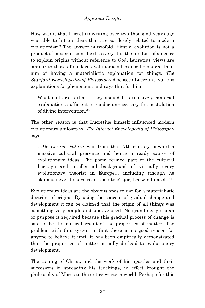How was it that Lucretius writing over two thousand years ago was able to hit on ideas that are so closely related to modern evolutionism? The answer is twofold. Firstly, evolution is not a product of modern scientific discovery it is the product of a desire to explain origins without reference to God. Lucretius' views are similar to those of modern evolutionists because he shared their aim of having a materialistic explanation for things. The Stanford Encyclopedia of Philosophy discusses Lucretius' various explanations for phenomena and says that for him:

What matters is that… they should be exclusively material explanations sufficient to render unnecessary the postulation of divine intervention.<sup>63</sup>

The other reason is that Lucretius himself influenced modern evolutionary philosophy. The Internet Encyclopedia of Philosophy says:

…De Rerum Natura was from the 17th century onward a massive cultural presence and hence a ready source of evolutionary ideas. The poem formed part of the cultural heritage and intellectual background of virtually every evolutionary theorist in Europe… including (though he claimed never to have read Lucretius' epic) Darwin himself.<sup>64</sup>

Evolutionary ideas are the obvious ones to use for a materialistic doctrine of origins. By using the concept of gradual change and development it can be claimed that the origin of all things was something very simple and undeveloped. No grand design, plan or purpose is required because this gradual process of change is said to be the natural result of the properties of matter. The problem with this system is that there is no good reason for anyone to believe it until it has been empirically demonstrated that the properties of matter actually do lead to evolutionary development.

The coming of Christ, and the work of his apostles and their successors in spreading his teachings, in effect brought the philosophy of Moses to the entire western world. Perhaps for this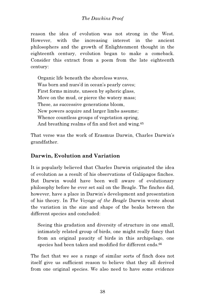# The Dawkins Proof

reason the idea of evolution was not strong in the West. However, with the increasing interest in the ancient philosophers and the growth of Enlightenment thought in the eighteenth century, evolution began to make a comeback. Consider this extract from a poem from the late eighteenth century:

Organic life beneath the shoreless waves, Was born and nurs'd in ocean's pearly caves; First forms minute, unseen by spheric glass, Move on the mud, or pierce the watery mass; These, as successive generations bloom, New powers acquire and larger limbs assume; Whence countless groups of vegetation spring, And breathing realms of fin and feet and wing.<sup>65</sup>

That verse was the work of Erasmus Darwin, Charles Darwin's grandfather.

# Darwin, Evolution and Variation

It is popularly believed that Charles Darwin originated the idea of evolution as a result of his observations of Galápagos finches. But Darwin would have been well aware of evolutionary philosophy before he ever set sail on the Beagle. The finches did, however, have a place in Darwin's development and presentation of his theory. In The Voyage of the Beagle Darwin wrote about the variation in the size and shape of the beaks between the different species and concluded:

Seeing this gradation and diversity of structure in one small, intimately related group of birds, one might really fancy that from an original paucity of birds in this archipelago, one species had been taken and modified for different ends.<sup>66</sup>

The fact that we see a range of similar sorts of finch does not itself give us sufficient reason to believe that they all derived from one original species. We also need to have some evidence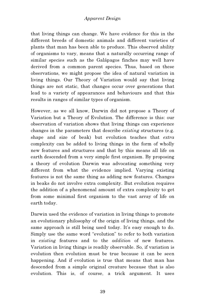that living things can change. We have evidence for this in the different breeds of domestic animals and different varieties of plants that man has been able to produce. This observed ability of organisms to vary, means that a naturally occurring range of similar species such as the Galápagos finches may well have derived from a common parent species. Thus, based on these observations, we might propose the idea of natural variation in living things. Our Theory of Variation would say that living things are not static, that changes occur over generations that lead to a variety of appearances and behaviours and that this results in ranges of similar types of organism.

However, as we all know, Darwin did not propose a Theory of Variation but a Theory of Evolution. The difference is this: our observation of variation shows that living things can experience changes in the parameters that describe existing structures (e.g. shape and size of beak) but evolution teaches that extra complexity can be added to living things in the form of wholly new features and structures and that by this means all life on earth descended from a very simple first organism. By proposing a theory of evolution Darwin was advocating something very different from what the evidence implied. Varying existing features is not the same thing as adding new features. Changes in beaks do not involve extra complexity. But evolution requires the addition of a phenomenal amount of extra complexity to get from some minimal first organism to the vast array of life on earth today.

Darwin used the evidence of variation in living things to promote an evolutionary philosophy of the origin of living things, and the same approach is still being used today. It's easy enough to do. Simply use the same word "evolution" to refer to both variation in existing features and to the addition of new features. Variation in living things is readily observable. So, if variation is evolution then evolution must be true because it can be seen happening. And if evolution is true that means that man has descended from a simple original creature because that is also evolution. This is, of course, a trick argument. It uses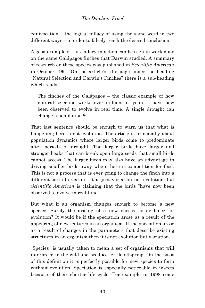## The Dawkins Proof

equivocation – the logical fallacy of using the same word in two different ways – in order to falsely reach the desired conclusion.

A good example of this fallacy in action can be seen in work done on the same Galápagos finches that Darwin studied. A summary of research on these species was published in Scientific American in October 1991. On the article's title page under the heading "Natural Selection and Darwin's Finches" there is a sub-heading which reads:

The finches of the Galápagos – the classic example of how natural selection works over millions of years – have now been observed to evolve in real time. A single drought can change a population.<sup>67</sup>

That last sentence should be enough to warn us that what is happening here is not evolution. The article is principally about population dynamics where larger birds come to predominate after periods of drought. The larger birds have larger and stronger beaks that can break open large seeds that small birds cannot access. The larger birds may also have an advantage in driving smaller birds away when there is competition for food. This is not a process that is ever going to change the finch into a different sort of creature. It is just variation not evolution, but Scientific American is claiming that the birds "have now been observed to evolve in real time".

But what if an organism changes enough to become a new species. Surely the arising of a new species is evidence for evolution? It would be if the speciation arose as a result of the appearing of new features in an organism. If the speciation arose as a result of changes in the parameters that describe existing structures in an organism then it is not evolution but variation.

"Species" is usually taken to mean a set of organisms that will interbreed in the wild and produce fertile offspring. On the basis of this definition it is perfectly possible for new species to form without evolution. Speciation is especially noticeable in insects because of their shorter life cycle. For example in 1998 some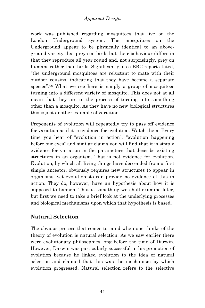work was published regarding mosquitoes that live on the London Underground system. The mosquitoes on the Underground appear to be physically identical to an aboveground variety that preys on birds but their behaviour differs in that they reproduce all year round and, not surprisingly, prey on humans rather than birds. Significantly, as a BBC report stated, "the underground mosquitoes are reluctant to mate with their outdoor cousins, indicating that they have become a separate species".68 What we see here is simply a group of mosquitoes turning into a different variety of mosquito. This does not at all mean that they are in the process of turning into something other than a mosquito. As they have no new biological structures this is just another example of variation.

Proponents of evolution will repeatedly try to pass off evidence for variation as if it is evidence for evolution. Watch them. Every time you hear of "evolution in action", "evolution happening before our eyes" and similar claims you will find that it is simply evidence for variation in the parameters that describe existing structures in an organism. That is not evidence for evolution. Evolution, by which all living things have descended from a first simple ancestor, obviously requires new structures to appear in organisms, yet evolutionists can provide no evidence of this in action. They do, however, have an hypothesis about how it is supposed to happen. That is something we shall examine later, but first we need to take a brief look at the underlying processes and biological mechanisms upon which that hypothesis is based.

# Natural Selection

The obvious process that comes to mind when one thinks of the theory of evolution is natural selection. As we saw earlier there were evolutionary philosophies long before the time of Darwin. However, Darwin was particularly successful in his promotion of evolution because he linked evolution to the idea of natural selection and claimed that this was the mechanism by which evolution progressed. Natural selection refers to the selective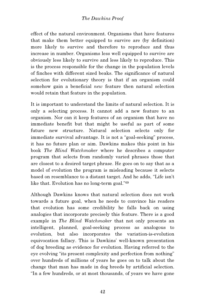effect of the natural environment. Organisms that have features that make them better equipped to survive are (by definition) more likely to survive and therefore to reproduce and thus increase in number. Organisms less well equipped to survive are obviously less likely to survive and less likely to reproduce. This is the process responsible for the change in the population levels of finches with different sized beaks. The significance of natural selection for evolutionary theory is that if an organism could somehow gain a beneficial *new* feature then natural selection would retain that feature in the population.

It is important to understand the limits of natural selection. It is only a selecting process. It cannot add a new feature to an organism. Nor can it keep features of an organism that have no immediate benefit but that might be useful as part of some future new structure. Natural selection selects only for immediate survival advantage. It is not a "goal-seeking" process, it has no future plan or aim. Dawkins makes this point in his book The Blind Watchmaker where he describes a computer program that selects from randomly varied phrases those that are closest to a desired target phrase. He goes on to say that as a model of evolution the program is misleading because it selects based on resemblance to a distant target. And he adds, "Life isn't like that. Evolution has no long-term goal."<sup>69</sup>

Although Dawkins knows that natural selection does not work towards a future goal, when he needs to convince his readers that evolution has some credibility he falls back on using analogies that incorporate precisely this feature. There is a good example in The Blind Watchmaker that not only presents an intelligent, planned, goal-seeking process as analogous to evolution, but also incorporates the variation-is-evolution equivocation fallacy. This is Dawkins' well-known presentation of dog breeding as evidence for evolution. Having referred to the eye evolving "its present complexity and perfection from nothing" over hundreds of millions of years he goes on to talk about the change that man has made in dog breeds by artificial selection. "In a few hundreds, or at most thousands, of years we have gone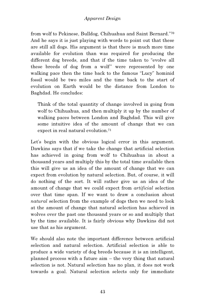from wolf to Pekinese, Bulldog, Chihuahua and Saint Bernard."<sup>70</sup> And he says it is just playing with words to point out that these are still all dogs. His argument is that there is much more time available for evolution than was required for producing the different dog breeds, and that if the time taken to "evolve all these breeds of dog from a wolf" were represented by one walking pace then the time back to the famous "Lucy" hominid fossil would be two miles and the time back to the start of evolution on Earth would be the distance from London to Baghdad. He concludes:

Think of the total quantity of change involved in going from wolf to Chihuahua, and then multiply it up by the number of walking paces between London and Baghdad. This will give some intuitive idea of the amount of change that we can expect in real natural evolution.<sup>71</sup>

Let's begin with the obvious logical error in this argument. Dawkins says that if we take the change that artificial selection has achieved in going from wolf to Chihuahua in about a thousand years and multiply this by the total time available then this will give us an idea of the amount of change that we can expect from evolution by natural selection. But, of course, it will do nothing of the sort. It will rather give us an idea of the amount of change that we could expect from artificial selection over that time span. If we want to draw a conclusion about natural selection from the example of dogs then we need to look at the amount of change that natural selection has achieved in wolves over the past one thousand years or so and multiply that by the time available. It is fairly obvious why Dawkins did not use that as his argument.

We should also note the important difference between artificial selection and natural selection. Artificial selection is able to produce a wide variety of dog breeds because it is an intelligent, planned process with a future aim – the very thing that natural selection is not. Natural selection has no plan, it does not work towards a goal. Natural selection selects only for immediate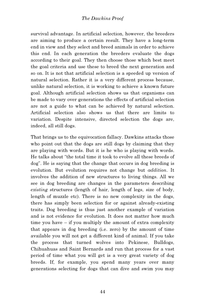survival advantage. In artificial selection, however, the breeders are aiming to produce a certain result. They have a long-term end in view and they select and breed animals in order to achieve this end. In each generation the breeders evaluate the dogs according to their goal. They then choose those which best meet the goal criteria and use these to breed the next generation and so on. It is not that artificial selection is a speeded up version of natural selection. Rather it is a very different process because, unlike natural selection, it is working to achieve a known future goal. Although artificial selection shows us that organisms can be made to vary over generations the effects of artificial selection are not a guide to what can be achieved by natural selection. Artificial selection also shows us that there are limits to variation. Despite intensive, directed selection the dogs are, indeed, all still dogs.

That brings us to the equivocation fallacy. Dawkins attacks those who point out that the dogs are still dogs by claiming that they are playing with words. But it is he who is playing with words. He talks about "the total time it took to evolve all these breeds of dog". He is saying that the change that occurs in dog breeding is evolution. But evolution requires not change but addition. It involves the addition of new structures to living things. All we see in dog breeding are changes in the parameters describing existing structures (length of hair, length of legs, size of body, length of muzzle etc). There is no new complexity in the dogs, there has simply been selection for or against already-existing traits. Dog breeding is thus just another example of variation and is not evidence for evolution. It does not matter how much time you have – if you multiply the amount of extra complexity that appears in dog breeding (i.e. zero) by the amount of time available you will not get a different kind of animal. If you take the process that turned wolves into Pekinese, Bulldogs, Chihuahuas and Saint Bernards and run that process for a vast period of time what you will get is a very great variety of dog breeds. If, for example, you spend many years over many generations selecting for dogs that can dive and swim you may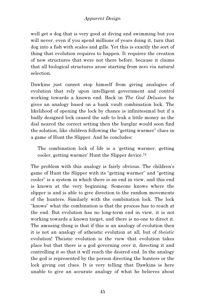well get a dog that is very good at diving and swimming but you will never, even if you spend millions of years doing it, turn that dog into a fish with scales and gills. Yet this is exactly the sort of thing that evolution requires to happen. It requires the creation of new structures that were not there before, because it claims that all biological structures arose starting from zero via natural selection.

Dawkins just cannot stop himself from giving analogies of evolution that rely upon intelligent government and control working towards a known end. Back in The God Delusion he gives an analogy based on a bank vault combination lock. The likelihood of opening the lock by chance is infinitesimal but if a badly designed lock caused the safe to leak a little money as the dial neared the correct setting then the burglar would soon find the solution, like children following the "getting warmer" clues in a game of Hunt the Slipper. And he concludes:

The combination lock of life is a 'getting warmer, getting cooler, getting warmer' Hunt the Slipper device.<sup>72</sup>

The problem with this analogy is fairly obvious. The children's game of Hunt the Slipper with its "getting warmer" and "getting cooler" is a system in which there is an end in view, and this end is known at the very beginning. Someone knows where the slipper is and is able to give direction to the random movements of the hunters. Similarly with the combination lock. The lock "knows" what the combination is that the process has to reach at the end. But evolution has no long-term end in view, it is not working towards a known target, and there is no-one to direct it. The amusing thing is that if this is an analogy of evolution then it is not an analogy of atheistic evolution at all, but of theistic evolution! Theistic evolution is the view that evolution takes place but that there is a god governing over it, directing it and controlling it so that it will reach the desired end. In the analogy the god is represented by the person directing the hunters or the lock giving out clues. It is very telling that Dawkins is here unable to give an accurate analogy of what he believes about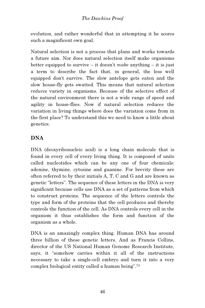evolution, and rather wonderful that in attempting it he scores such a magnificent own goal.

Natural selection is not a process that plans and works towards a future aim. Nor does natural selection itself make organisms better equipped to survive – it doesn't make anything – it is just a term to describe the fact that, in general, the less well equipped don't survive. The slow antelope gets eaten and the slow house-fly gets swatted. This means that natural selection reduces variety in organisms. Because of the selective effect of the natural environment there is not a wide range of speed and agility in house-flies. Now if natural selection reduces the variation in living things where does the variation come from in the first place? To understand this we need to know a little about genetics.

# DNA

DNA (deoxyribonucleic acid) is a long chain molecule that is found in every cell of every living thing. It is composed of units called nucleotides which can be any one of four chemicals: adenine, thymine, cytosine and guanine. For brevity these are often referred to by their initials A, T, C and G and are known as genetic "letters". The sequence of these letters in the DNA is very significant because cells use DNA as a set of patterns from which to construct proteins. The sequence of the letters controls the type and form of the proteins that the cell produces and thereby controls the function of the cell. As DNA controls every cell in the organism it thus establishes the form and function of the organism as a whole.

DNA is an amazingly complex thing. Human DNA has around three billion of these genetic letters. And as Francis Collins, director of the US National Human Genome Research Institute, says, it "somehow carries within it all of the instructions necessary to take a single-cell embryo and turn it into a very complex biological entity called a human being".73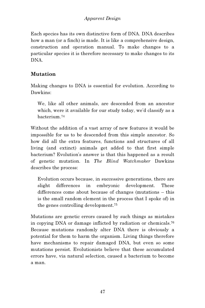Each species has its own distinctive form of DNA. DNA describes how a man (or a finch) is made. It is like a comprehensive design, construction and operation manual. To make changes to a particular species it is therefore necessary to make changes to its DNA.

# Mutation

Making changes to DNA is essential for evolution. According to Dawkins:

We, like all other animals, are descended from an ancestor which, were it available for our study today, we'd classify as a bacterium.<sup>74</sup>

Without the addition of a vast array of new features it would be impossible for us to be descended from this simple ancestor. So how did all the extra features, functions and structures of all living (and extinct) animals get added to that first simple bacterium? Evolution's answer is that this happened as a result of genetic mutation. In The Blind Watchmaker Dawkins describes the process:

Evolution occurs because, in successive generations, there are slight differences in embryonic development. These differences come about because of changes (mutations – this is the small random element in the process that I spoke of) in the genes controlling development.<sup>75</sup>

Mutations are genetic errors caused by such things as mistakes in copying DNA or damage inflicted by radiation or chemicals.<sup>76</sup> Because mutations randomly alter DNA there is obviously a potential for them to harm the organism. Living things therefore have mechanisms to repair damaged DNA, but even so some mutations persist. Evolutionists believe that these accumulated errors have, via natural selection, caused a bacterium to become a man.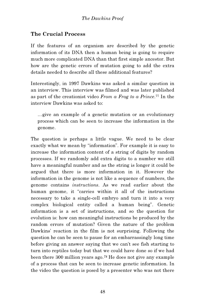# The Crucial Process

If the features of an organism are described by the genetic information of its DNA then a human being is going to require much more complicated DNA than that first simple ancestor. But how are the genetic errors of mutation going to add the extra details needed to describe all these additional features?

Interestingly, in 1997 Dawkins was asked a similar question in an interview. This interview was filmed and was later published as part of the creationist video From  $\alpha$  Frog to  $\alpha$  Prince.<sup>77</sup> In the interview Dawkins was asked to:

…give an example of a genetic mutation or an evolutionary process which can be seen to increase the information in the genome.

The question is perhaps a little vague. We need to be clear exactly what we mean by "information". For example it is easy to increase the information content of a string of digits by random processes. If we randomly add extra digits to a number we still have a meaningful number and as the string is longer it could be argued that there is more information in it. However the information in the genome is not like a sequence of numbers, the genome contains instructions. As we read earlier about the human genome, it "carries within it all of the instructions necessary to take a single-cell embryo and turn it into a very complex biological entity called a human being". Genetic information is a set of instructions, and so the question for evolution is: how can meaningful instructions be produced by the random errors of mutation? Given the nature of the problem Dawkins' reaction in the film is not surprising. Following the question he can be seen to pause for an embarrassingly long time before giving an answer saying that we can't see fish starting to turn into reptiles today but that we could have done so if we had been there 300 million years ago.<sup>78</sup> He does not give any example of a process that can be seen to increase genetic information. In the video the question is posed by a presenter who was not there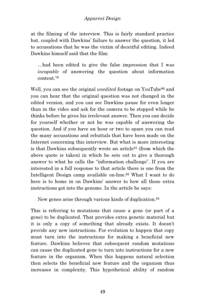at the filming of the interview. This is fairly standard practice but, coupled with Dawkins' failure to answer the question, it led to accusations that he was the victim of deceitful editing. Indeed Dawkins himself said that the film:

…had been edited to give the false impression that I was incapable of answering the question about information content.<sup>79</sup>

Well, you can see the original *unedited* footage on YouTube<sup>80</sup> and you can hear that the original question was not changed in the edited version, and you can see Dawkins pause for even longer than in the video and ask for the camera to be stopped while he thinks before he gives his irrelevant answer. Then you can decide for yourself whether or not he was capable of answering the question. And if you have an hour or two to spare you can read the many accusations and rebuttals that have been made on the Internet concerning this interview. But what is more interesting is that Dawkins subsequently wrote an article81 (from which the above quote is taken) in which he sets out to give a thorough answer to what he calls the "information challenge". If you are interested in a full response to that article there is one from the Intelligent Design camp available on-line.82 What I want to do here is to home in on Dawkins' answer to how all those extra instructions got into the genome. In the article he says:

New genes arise through various kinds of duplication.<sup>83</sup>

This is referring to mutations that cause a gene (or part of a gene) to be duplicated. That provides extra genetic material but it is only a copy of something that already exists. It doesn't provide any new instructions. For evolution to happen that copy must turn into the instructions for making a beneficial new feature. Dawkins believes that subsequent random mutations can cause the duplicated gene to turn into instructions for a new feature in the organism. When this happens natural selection then selects the beneficial new feature and the organism thus increases in complexity. This hypothetical ability of random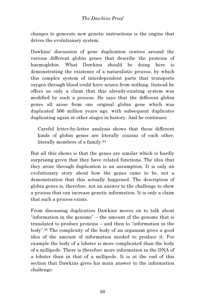## The Dawkins Proof

changes to generate new genetic instructions is the engine that drives the evolutionary system.

Dawkins' discussion of gene duplication centres around the various different globin genes that describe the proteins of haemoglobin. What Dawkins should be doing here is demonstrating the existence of a naturalistic process, by which this complex system of interdependent parts that transports oxygen through blood could have arisen from nothing. Instead he offers us only a claim that this already-existing system was modified by such a process. He says that the different globin genes all arose from one original globin gene which was duplicated 500 million years ago, with subsequent duplicates duplicating again at other stages in history. And he continues:

Careful letter-by-letter analysis shows that these different kinds of globin genes are literally cousins of each other, literally members of a family.<sup>84</sup>

But all this shows is that the genes are similar which is hardly surprising given that they have related functions. The idea that they arose through duplication is an assumption. It is only an evolutionary story about how the genes came to be, not a demonstration that this actually happened. The description of globin genes is, therefore, not an answer to the challenge to show a process that can increase genetic information. It is only a claim that such a process exists.

From discussing duplication Dawkins moves on to talk about "information in the genome" – the amount of the genome that is translated to produce proteins – and then to "information in the body".85 The complexity of the body of an organism gives a good idea of the amount of information needed to produce it. For example the body of a lobster is more complicated than the body of a millipede. There is therefore more information in the DNA of a lobster than in that of a millipede. It is at the end of this section that Dawkins gives his main answer to the information challenge: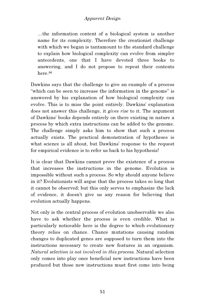…the information content of a biological system is another name for its complexity. Therefore the creationist challenge with which we began is tantamount to the standard challenge to explain how biological complexity can evolve from simpler antecedents, one that I have devoted three books to answering, and I do not propose to repeat their contents here.<sup>86</sup>

Dawkins says that the challenge to give an example of a process "which can be seen to increase the information in the genome" is answered by his explanation of how biological complexity can evolve. This is to miss the point entirely. Dawkins' explanation does not answer this challenge, it gives rise to it. The argument of Dawkins' books depends entirely on there existing in nature a process by which extra instructions can be added to the genome. The challenge simply asks him to show that such a process actually exists. The practical demonstration of hypotheses is what science is all about, but Dawkins' response to the request for empirical evidence is to refer us back to his hypothesis!

It is clear that Dawkins cannot prove the existence of a process that increases the instructions in the genome. Evolution is impossible without such a process. So why should anyone believe in it? Evolutionists will argue that the process takes so long that it cannot be observed; but this only serves to emphasize the lack of evidence, it doesn't give us any reason for believing that evolution actually happens.

Not only is the central process of evolution unobservable we also have to ask whether the process is even credible. What is particularly noticeable here is the degree to which evolutionary theory relies on chance. Chance mutations causing random changes to duplicated genes are supposed to turn them into the instructions necessary to create new features in an organism. Natural selection is not involved in this process. Natural selection only comes into play once beneficial new instructions have been produced but those new instructions must first come into being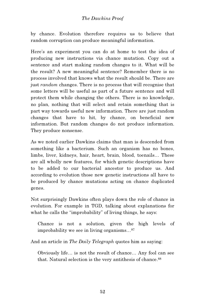### The Dawkins Proof

by chance. Evolution therefore requires us to believe that random corruption can produce meaningful information.

Here's an experiment you can do at home to test the idea of producing new instructions via chance mutation. Copy out a sentence and start making random changes to it. What will be the result? A new meaningful sentence? Remember there is no process involved that knows what the result should be. There are just random changes. There is no process that will recognise that some letters will be useful as part of a future sentence and will protect them while changing the others. There is no knowledge, no plan, nothing that will select and retain something that is part way towards useful new information. There are just random changes that have to hit, by chance, on beneficial new information. But random changes do not produce information. They produce nonsense.

As we noted earlier Dawkins claims that man is descended from something like a bacterium. Such an organism has no bones, limbs, liver, kidneys, hair, heart, brain, blood, toenails… These are all wholly new features, for which genetic descriptions have to be added to our bacterial ancestor to produce us. And according to evolution those new genetic instructions all have to be produced by chance mutations acting on chance duplicated genes.

Not surprisingly Dawkins often plays down the role of chance in evolution. For example in TGD, talking about explanations for what he calls the "improbability" of living things, he says:

Chance is not a solution, given the high levels of improbability we see in living organisms…<sup>87</sup>

And an article in The Daily Telegraph quotes him as saying:

Obviously life… is not the result of chance… Any fool can see that. Natural selection is the very antithesis of chance.<sup>88</sup>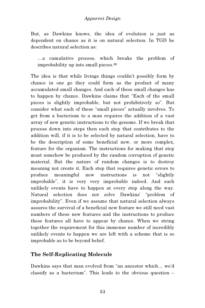But, as Dawkins knows, the idea of evolution is just as dependent on chance as it is on natural selection. In TGD he describes natural selection as:

…a cumulative process, which breaks the problem of improbability up into small pieces.<sup>89</sup>

The idea is that while livings things couldn't possibly form by chance in one go they could form as the product of many accumulated small changes. And each of these small changes has to happen by chance. Dawkins claims that "Each of the small pieces is slightly improbable, but not prohibitively so". But consider what each of these "small pieces" actually involves. To get from a bacterium to a man requires the addition of a vast array of new genetic instructions to the genome. If we break that process down into steps then each step that contributes to the addition will, if it is to be selected by natural selection, have to be the description of some beneficial new, or more complex, feature for the organism. The instructions for making that step must somehow be produced by the random corruption of genetic material. But the nature of random changes is to destroy meaning not create it. Each step that requires genetic errors to produce meaningful new instructions is not "slightly improbable", it is very very improbable indeed. And such unlikely events have to happen at every step along the way. Natural selection does not solve Dawkins' "problem of improbability". Even if we assume that natural selection always assures the survival of a beneficial new feature we still need vast numbers of these new features and the instructions to produce these features all have to appear by chance. When we string together the requirement for this immense number of incredibly unlikely events to happen we are left with a scheme that is so improbable as to be beyond belief.

# The Self-Replicating Molecule

Dawkins says that man evolved from "an ancestor which… we'd classify as a bacterium". This leads to the obvious question –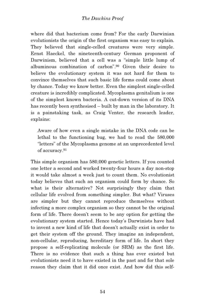where did that bacterium come from? For the early Darwinian evolutionists the origin of the first organism was easy to explain. They believed that single-celled creatures were very simple. Ernst Haeckel, the nineteenth-century German proponent of Darwinism, believed that a cell was a "simple little lump of albuminous combination of carbon".90 Given their desire to believe the evolutionary system it was not hard for them to convince themselves that such basic life forms could come about by chance. Today we know better. Even the simplest single-celled creature is incredibly complicated. Mycoplasma genitalium is one of the simplest known bacteria. A cut-down version of its DNA has recently been synthesised – built by man in the laboratory. It is a painstaking task, as Craig Venter, the research leader, explains:

Aware of how even a single mistake in the DNA code can be lethal to the functioning bug, we had to read the 580,000 "letters" of the Mycoplasma genome at an unprecedented level of accuracy.<sup>91</sup>

This simple organism has 580,000 genetic letters. If you counted one letter a second and worked twenty-four hours a day non-stop it would take almost a week just to count them. No evolutionist today believes that such an organism could form by chance. So what is their alternative? Not surprisingly they claim that cellular life evolved from something simpler. But what? Viruses are simpler but they cannot reproduce themselves without infecting a more complex organism so they cannot be the original form of life. There doesn't seem to be any option for getting the evolutionary system started. Hence today's Darwinists have had to invent a new kind of life that doesn't actually exist in order to get their system off the ground. They imagine an independent, non-cellular, reproducing, hereditary form of life. In short they propose a self-replicating molecule (or SRM) as the first life. There is no evidence that such a thing has ever existed but evolutionists need it to have existed in the past and for that sole reason they claim that it did once exist. And how did this self-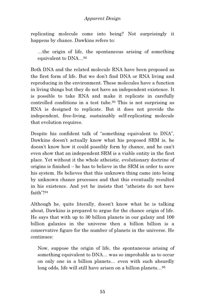replicating molecule come into being? Not surprisingly it happens by chance. Dawkins refers to:

…the origin of life, the spontaneous arising of something equivalent to DNA…<sup>92</sup>

Both DNA and the related molecule RNA have been proposed as the first form of life. But we don't find DNA or RNA living and reproducing in the environment. These molecules have a function in living things but they do not have an independent existence. It is possible to take RNA and make it replicate in carefully controlled conditions in a test tube.93 This is not surprising as RNA is designed to replicate. But it does not provide the independent, free-living, sustainably self-replicating molecule that evolution requires.

Despite his confident talk of "something equivalent to DNA", Dawkins doesn't actually know what his proposed SRM is, he doesn't know how it could possibly form by chance, and he can't even show that an independent SRM is a viable entity in the first place. Yet without it the whole atheistic, evolutionary doctrine of origins is finished – he has to believe in the SRM in order to save his system. He believes that this unknown thing came into being by unknown chance processes and that this eventually resulted in his existence. And yet he insists that "atheists do not have faith"!<sup>94</sup>

Although he, quite literally, doesn't know what he is talking about, Dawkins is prepared to argue for the chance origin of life. He says that with up to 30 billion planets in our galaxy and 100 billion galaxies in the universe then a billion billion is a conservative figure for the number of planets in the universe. He continues:

Now, suppose the origin of life, the spontaneous arising of something equivalent to DNA… was so improbable as to occur on only one in a billion planets… even with such absurdly long odds, life will still have arisen on a billion planets…95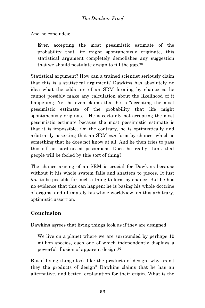And he concludes:

Even accepting the most pessimistic estimate of the probability that life might spontaneously originate, this statistical argument completely demolishes any suggestion that we should postulate design to fill the gap.<sup>96</sup>

Statistical argument? How can a trained scientist seriously claim that this is a statistical argument? Dawkins has absolutely no idea what the odds are of an SRM forming by chance so he cannot possibly make any calculation about the likelihood of it happening. Yet he even claims that he is "accepting the most pessimistic estimate of the probability that life might spontaneously originate". He is certainly not accepting the most pessimistic estimate because the most pessimistic estimate is that it is impossible. On the contrary, he is optimistically and arbitrarily asserting that an SRM can form by chance, which is something that he does not know at all. And he then tries to pass this off as hard-nosed pessimism. Does he really think that people will be fooled by this sort of thing?

The chance arising of an SRM is crucial for Dawkins because without it his whole system falls and shatters to pieces. It just has to be possible for such a thing to form by chance. But he has no evidence that this can happen; he is basing his whole doctrine of origins, and ultimately his whole worldview, on this arbitrary, optimistic assertion.

# **Conclusion**

Dawkins agrees that living things look as if they are designed:

We live on a planet where we are surrounded by perhaps 10 million species, each one of which independently displays a powerful illusion of apparent design.<sup>97</sup>

But if living things look like the products of design, why aren't they the products of design? Dawkins claims that he has an alternative, and better, explanation for their origin. What is the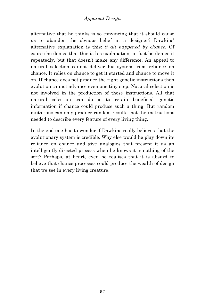alternative that he thinks is so convincing that it should cause us to abandon the obvious belief in a designer? Dawkins' alternative explanation is this: it all happened by chance. Of course he denies that this is his explanation, in fact he denies it repeatedly, but that doesn't make any difference. An appeal to natural selection cannot deliver his system from reliance on chance. It relies on chance to get it started and chance to move it on. If chance does not produce the right genetic instructions then evolution cannot advance even one tiny step. Natural selection is not involved in the production of those instructions. All that natural selection can do is to retain beneficial genetic information if chance could produce such a thing. But random mutations can only produce random results, not the instructions needed to describe every feature of every living thing.

In the end one has to wonder if Dawkins really believes that the evolutionary system is credible. Why else would he play down its reliance on chance and give analogies that present it as an intelligently directed process when he knows it is nothing of the sort? Perhaps, at heart, even he realises that it is absurd to believe that chance processes could produce the wealth of design that we see in every living creature.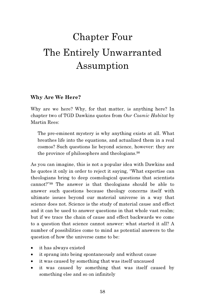# Chapter Four The Entirely Unwarranted Assumption

# Why Are We Here?

Why are we here? Why, for that matter, is anything here? In chapter two of TGD Dawkins quotes from Our Cosmic Habitat by Martin Rees:

The pre-eminent mystery is why anything exists at all. What breathes life into the equations, and actualized them in a real cosmos? Such questions lie beyond science, however: they are the province of philosophers and theologians.<sup>98</sup>

As you can imagine, this is not a popular idea with Dawkins and he quotes it only in order to reject it saying, "What expertise can theologians bring to deep cosmological questions that scientists cannot?"99 The answer is that theologians should be able to answer such questions because theology concerns itself with ultimate issues beyond our material universe in a way that science does not. Science is the study of material cause and effect and it can be used to answer questions in that whole vast realm; but if we trace the chain of cause and effect backwards we come to a question that science cannot answer: what started it all? A number of possibilities come to mind as potential answers to the question of how the universe came to be:

- it has always existed
- it sprang into being spontaneously and without cause
- it was caused by something that was itself uncaused
- it was caused by something that was itself caused by something else and so on infinitely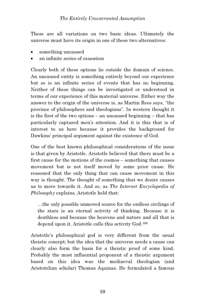These are all variations on two basic ideas. Ultimately the universe must have its origin in one of these two alternatives:

- something uncaused
- an infinite series of causation

Clearly both of these options lie outside the domain of science. An uncaused entity is something entirely beyond our experience but so is an infinite series of events that has no beginning. Neither of these things can be investigated or understood in terms of our experience of this material universe. Either way the answer to the origin of the universe is, as Martin Rees says, "the province of philosophers and theologians". In western thought it is the first of the two options – an uncaused beginning – that has particularly captured men's attention. And it is this that is of interest to us here because it provides the background for Dawkins' principal argument against the existence of God.

One of the best known philosophical considerations of the issue is that given by Aristotle. Aristotle believed that there must be a first cause for the motions of the cosmos – something that causes movement but is not itself moved by some prior cause. He reasoned that the only thing that can cause movement in this way is thought. The thought of something that we desire causes us to move towards it. And so, as The Internet Encyclopedia of Philosophy explains, Aristotle held that:

…the only possible unmoved source for the endless circlings of the stars is an eternal activity of thinking. Because it is deathless and because the heavens and nature and all that is depend upon it, Aristotle calls this activity God.<sup>100</sup>

Aristotle's philosophical god is very different from the usual theistic concept; but the idea that the universe needs a cause can clearly also form the basis for a theistic proof of some kind. Probably the most influential proponent of a theistic argument based on this idea was the mediaeval theologian (and Aristotelian scholar) Thomas Aquinas. He formulated a famous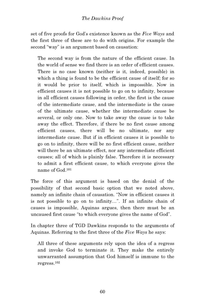set of five proofs for God's existence known as the Five Ways and the first three of these are to do with origins. For example the second "way" is an argument based on causation:

The second way is from the nature of the efficient cause. In the world of sense we find there is an order of efficient causes. There is no case known (neither is it, indeed, possible) in which a thing is found to be the efficient cause of itself; for so it would be prior to itself, which is impossible. Now in efficient causes it is not possible to go on to infinity, because in all efficient causes following in order, the first is the cause of the intermediate cause, and the intermediate is the cause of the ultimate cause, whether the intermediate cause be several, or only one. Now to take away the cause is to take away the effect. Therefore, if there be no first cause among efficient causes, there will be no ultimate, nor any intermediate cause. But if in efficient causes it is possible to go on to infinity, there will be no first efficient cause, neither will there be an ultimate effect, nor any intermediate efficient causes; all of which is plainly false. Therefore it is necessary to admit a first efficient cause, to which everyone gives the name of God.<sup>101</sup>

The force of this argument is based on the denial of the possibility of that second basic option that we noted above, namely an infinite chain of causation. "Now in efficient causes it is not possible to go on to infinity…". If an infinite chain of causes is impossible, Aquinas argues, then there must be an uncaused first cause "to which everyone gives the name of God".

In chapter three of TGD Dawkins responds to the arguments of Aquinas. Referring to the first three of the  $Five\,Ways$  he says:

All three of these arguments rely upon the idea of a regress and invoke God to terminate it. They make the entirely unwarranted assumption that God himself is immune to the regress.102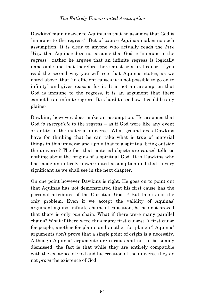Dawkins' main answer to Aquinas is that he assumes that God is "immune to the regress". But of course Aquinas makes no such assumption. It is clear to anyone who actually reads the Five Ways that Aquinas does not assume that God is "immune to the regress", rather he argues that an infinite regress is logically impossible and that therefore there must be a first cause. If you read the second way you will see that Aquinas states, as we noted above, that "in efficient causes it is not possible to go on to infinity" and gives reasons for it. It is not an assumption that God is immune to the regress, it is an argument that there cannot be an infinite regress. It is hard to see how it could be any plainer.

Dawkins, however, does make an assumption. He assumes that God is susceptible to the regress – as if God were like any event or entity in the material universe. What ground does Dawkins have for thinking that he can take what is true of material things in this universe and apply that to a spiritual being outside the universe? The fact that material objects are caused tells us nothing about the origins of a spiritual God. It is Dawkins who has made an entirely unwarranted assumption and that is very significant as we shall see in the next chapter.

On one point however Dawkins is right. He goes on to point out that Aquinas has not demonstrated that his first cause has the personal attributes of the Christian God.103 But this is not the only problem. Even if we accept the validity of Aquinas' argument against infinite chains of causation, he has not proved that there is only one chain. What if there were many parallel chains? What if there were thus many first causes? A first cause for people, another for plants and another for planets? Aquinas' arguments don't prove that a single point of origin is a necessity. Although Aquinas' arguments are serious and not to be simply dismissed, the fact is that while they are entirely compatible with the existence of God and his creation of the universe they do not prove the existence of God.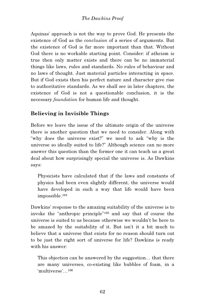Aquinas' approach is not the way to prove God. He presents the existence of God as the conclusion of a series of arguments. But the existence of God is far more important than that. Without God there is no workable starting point. Consider: if atheism is true then only matter exists and there can be no immaterial things like laws, rules and standards. No rules of behaviour and no laws of thought. Just material particles interacting in space. But if God exists then his perfect nature and character give rise to authoritative standards. As we shall see in later chapters, the existence of God is not a questionable conclusion, it is the necessary foundation for human life and thought.

# Believing in Invisible Things

Before we leave the issue of the ultimate origin of the universe there is another question that we need to consider. Along with "why does the universe exist?" we need to ask "why is the universe so ideally suited to life?" Although science can no more answer this question than the former one it can teach us a great deal about how surprisingly special the universe is. As Dawkins says:

Physicists have calculated that if the laws and constants of physics had been even slightly different, the universe would have developed in such a way that life would have been impossible.<sup>104</sup>

Dawkins' response to the amazing suitability of the universe is to invoke the "anthropic principle"105 and say that of course the universe is suited to us because otherwise we wouldn't be here to be amazed by the suitability of it. But isn't it a bit much to believe that a universe that exists for no reason should turn out to be just the right sort of universe for life? Dawkins is ready with his answer:

This objection can be answered by the suggestion… that there are many universes, co-existing like bubbles of foam, in a 'multiverse'…106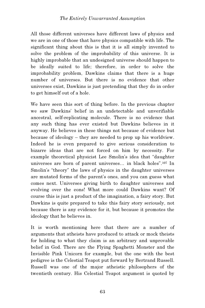All those different universes have different laws of physics and we are in one of those that have physics compatible with life. The significant thing about this is that it is all simply invented to solve the problem of the improbability of this universe. It is highly improbable that an undesigned universe should happen to be ideally suited to life; therefore, in order to solve the improbability problem, Dawkins claims that there is a huge number of universes. But there is no evidence that other universes exist, Dawkins is just pretending that they do in order to get himself out of a hole.

We have seen this sort of thing before. In the previous chapter we saw Dawkins' belief in an undetectable and unverifiable ancestral, self-replicating molecule. There is no evidence that any such thing has ever existed but Dawkins believes in it anyway. He believes in these things not because of evidence but because of ideology – they are needed to prop up his worldview. Indeed he is even prepared to give serious consideration to bizarre ideas that are not forced on him by necessity. For example theoretical physicist Lee Smolin's idea that "daughter universes are born of parent universes… in black holes".107 In Smolin's "theory" the laws of physics in the daughter universes are mutated forms of the parent's ones, and you can guess what comes next. Universes giving birth to daughter universes and evolving over the eons! What more could Dawkins want? Of course this is just a product of the imagination, a fairy story. But Dawkins is quite prepared to take this fairy story seriously, not because there is any evidence for it, but because it promotes the ideology that he believes in.

It is worth mentioning here that there are a number of arguments that atheists have produced to attack or mock theists for holding to what they claim is an arbitrary and unprovable belief in God. There are the Flying Spaghetti Monster and the Invisible Pink Unicorn for example, but the one with the best pedigree is the Celestial Teapot put forward by Bertrand Russell. Russell was one of the major atheistic philosophers of the twentieth century. His Celestial Teapot argument is quoted by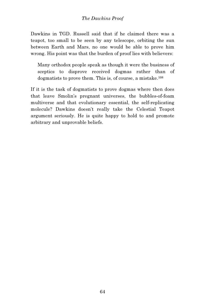## The Dawkins Proof

Dawkins in TGD. Russell said that if he claimed there was a teapot, too small to be seen by any telescope, orbiting the sun between Earth and Mars, no one would be able to prove him wrong. His point was that the burden of proof lies with believers:

Many orthodox people speak as though it were the business of sceptics to disprove received dogmas rather than of dogmatists to prove them. This is, of course, a mistake.<sup>108</sup>

If it is the task of dogmatists to prove dogmas where then does that leave Smolin's pregnant universes, the bubbles-of-foam multiverse and that evolutionary essential, the self-replicating molecule? Dawkins doesn't really take the Celestial Teapot argument seriously. He is quite happy to hold to and promote arbitrary and unprovable beliefs.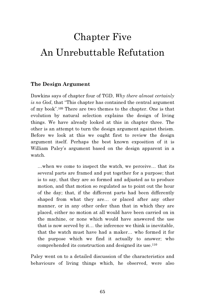# Chapter Five An Unrebuttable Refutation

## The Design Argument

Dawkins says of chapter four of TGD, Why there almost certainly is no God, that "This chapter has contained the central argument of my book".109 There are two themes to the chapter. One is that evolution by natural selection explains the design of living things. We have already looked at this in chapter three. The other is an attempt to turn the design argument against theism. Before we look at this we ought first to review the design argument itself. Perhaps the best known exposition of it is William Paley's argument based on the design apparent in a watch.

…when we come to inspect the watch, we perceive… that its several parts are framed and put together for a purpose; that is to say, that they are so formed and adjusted as to produce motion, and that motion so regulated as to point out the hour of the day; that, if the different parts had been differently shaped from what they are… or placed after any other manner, or in any other order than that in which they are placed, either no motion at all would have been carried on in the machine, or none which would have answered the use that is now served by it… the inference we think is inevitable, that the watch must have had a maker… who formed it for the purpose which we find it actually to answer; who comprehended its construction and designed its use.<sup>110</sup>

Paley went on to a detailed discussion of the characteristics and behaviours of living things which, he observed, were also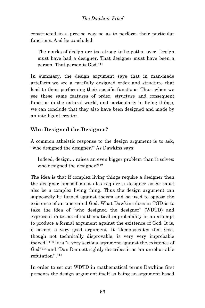constructed in a precise way so as to perform their particular functions. And he concluded:

The marks of design are too strong to be gotten over. Design must have had a designer. That designer must have been a person. That person is God.<sup>111</sup>

In summary, the design argument says that in man-made artefacts we see a carefully designed order and structure that lead to them performing their specific functions. Thus, when we see these same features of order, structure and consequent function in the natural world, and particularly in living things, we can conclude that they also have been designed and made by an intelligent creator.

# Who Designed the Designer?

A common atheistic response to the design argument is to ask, "who designed the designer?" As Dawkins says:

Indeed, design... raises an even bigger problem than it solves: who designed the designer?<sup>112</sup>

The idea is that if complex living things require a designer then the designer himself must also require a designer as he must also be a complex living thing. Thus the design argument can supposedly be turned against theism and be used to oppose the existence of an uncreated God. What Dawkins does in TGD is to take the idea of "who designed the designer" (WDTD) and express it in terms of mathematical improbability in an attempt to produce a formal argument against the existence of God. It is, it seems, a very good argument. It "demonstrates that God, though not technically disprovable, is very very improbable indeed."113 It is "a very serious argument against the existence of God"114 and "Dan Dennett rightly describes it as 'an unrebuttable refutation'".<sup>115</sup>

In order to set out WDTD in mathematical terms Dawkins first presents the design argument itself as being an argument based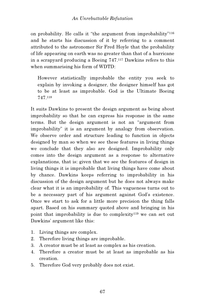on probability. He calls it "the argument from improbability"<sup>116</sup> and he starts his discussion of it by referring to a comment attributed to the astronomer Sir Fred Hoyle that the probability of life appearing on earth was no greater than that of a hurricane in a scrapyard producing a Boeing 747.117 Dawkins refers to this when summarising his form of WDTD:

However statistically improbable the entity you seek to explain by invoking a designer, the designer himself has got to be at least as improbable. God is the Ultimate Boeing 747.<sup>118</sup>

It suits Dawkins to present the design argument as being about improbability so that he can express his response in the same terms. But the design argument is not an "argument from improbability" it is an argument by analogy from observation. We observe order and structure leading to function in objects designed by man so when we see these features in living things we conclude that they also are designed. Improbability only comes into the design argument as a response to alternative explanations, that is: given that we see the features of design in living things it is improbable that living things have come about by chance. Dawkins keeps referring to improbability in his discussion of the design argument but he does not always make clear what it is an improbability of. This vagueness turns out to be a necessary part of his argument against God's existence. Once we start to ask for a little more precision the thing falls apart. Based on his summary quoted above and bringing in his point that improbability is due to complexity<sup>119</sup> we can set out Dawkins' argument like this:

- 1. Living things are complex.
- 2. Therefore living things are improbable.
- 3. A creator must be at least as complex as his creation.
- 4. Therefore a creator must be at least as improbable as his creation.
- 5. Therefore God very probably does not exist.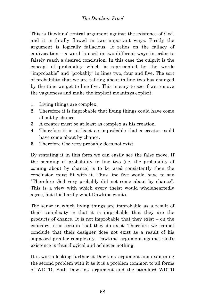This is Dawkins' central argument against the existence of God, and it is fatally flawed in two important ways. Firstly the argument is logically fallacious. It relies on the fallacy of equivocation – a word is used in two different ways in order to falsely reach a desired conclusion. In this case the culprit is the concept of probability which is represented by the words "improbable" and "probably" in lines two, four and five. The sort of probability that we are talking about in line two has changed by the time we get to line five. This is easy to see if we remove the vagueness and make the implicit meanings explicit.

- 1. Living things are complex.
- 2. Therefore it is improbable that living things could have come about by chance.
- 3. A creator must be at least as complex as his creation.
- 4. Therefore it is at least as improbable that a creator could have come about by chance.
- 5. Therefore God very probably does not exist.

By restating it in this form we can easily see the false move. If the meaning of probability in line two (i.e. the probability of coming about by chance) is to be used consistently then the conclusion must fit with it. Thus line five would have to say "Therefore God very probably did not come about by chance". This is a view with which every theist would wholeheartedly agree, but it is hardly what Dawkins wants.

The sense in which living things are improbable as a result of their complexity is that it is improbable that they are the products of chance. It is not improbable that they exist – on the contrary, it is certain that they do exist. Therefore we cannot conclude that their designer does not exist as a result of his supposed greater complexity. Dawkins' argument against God's existence is thus illogical and achieves nothing.

It is worth looking further at Dawkins' argument and examining the second problem with it as it is a problem common to all forms of WDTD. Both Dawkins' argument and the standard WDTD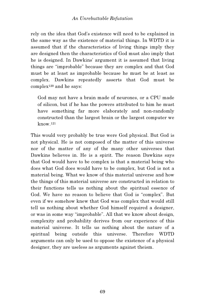rely on the idea that God's existence will need to be explained in the same way as the existence of material things. In WDTD it is assumed that if the characteristics of living things imply they are designed then the characteristics of God must also imply that he is designed. In Dawkins' argument it is assumed that living things are "improbable" because they are complex and that God must be at least as improbable because he must be at least as complex. Dawkins repeatedly asserts that God must be complex120 and he says:

God may not have a brain made of neurones, or a CPU made of silicon, but if he has the powers attributed to him he must have something far more elaborately and non-randomly constructed than the largest brain or the largest computer we know.<sup>121</sup>

This would very probably be true were God physical. But God is not physical. He is not composed of the matter of this universe nor of the matter of any of the many other universes that Dawkins believes in. He is a spirit. The reason Dawkins says that God would have to be complex is that a material being who does what God does would have to be complex, but God is not a material being. What we know of this material universe and how the things of this material universe are constructed in relation to their functions tells us nothing about the spiritual essence of God. We have no reason to believe that God is "complex". But even if we somehow knew that God was complex that would still tell us nothing about whether God himself required a designer, or was in some way "improbable". All that we know about design, complexity and probability derives from our experience of this material universe. It tells us nothing about the nature of a spiritual being outside this universe. Therefore WDTD arguments can only be used to oppose the existence of a physical designer, they are useless as arguments against theism.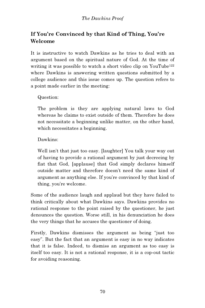# If You're Convinced by that Kind of Thing, You're Welcome

It is instructive to watch Dawkins as he tries to deal with an argument based on the spiritual nature of God. At the time of writing it was possible to watch a short video clip on YouTube<sup>122</sup> where Dawkins is answering written questions submitted by a college audience and this issue comes up. The question refers to a point made earlier in the meeting:

Question:

The problem is they are applying natural laws to God whereas he claims to exist outside of them. Therefore he does not necessitate a beginning unlike matter, on the other hand, which necessitates a beginning.

## Dawkins:

Well isn't that just too easy. [laughter] You talk your way out of having to provide a rational argument by just decreeing by fiat that God, [applause] that God simply declares himself outside matter and therefore doesn't need the same kind of argument as anything else. If you're convinced by that kind of thing, you're welcome.

Some of the audience laugh and applaud but they have failed to think critically about what Dawkins says. Dawkins provides no rational response to the point raised by the questioner, he just denounces the question. Worse still, in his denunciation he does the very things that he accuses the questioner of doing.

Firstly, Dawkins dismisses the argument as being "just too easy". But the fact that an argument is easy in no way indicates that it is false. Indeed, to dismiss an argument as too easy is itself too easy. It is not a rational response, it is a cop-out tactic for avoiding reasoning.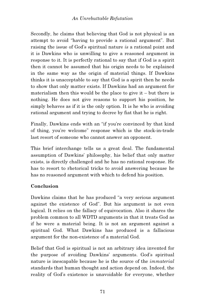Secondly, he claims that believing that God is not physical is an attempt to avoid "having to provide a rational argument". But raising the issue of God's spiritual nature is a rational point and it is Dawkins who is unwilling to give a reasoned argument in response to it. It is perfectly rational to say that if God is a spirit then it cannot be assumed that his origin needs to be explained in the same way as the origin of material things. If Dawkins thinks it is unacceptable to say that God is a spirit then he needs to show that only matter exists. If Dawkins had an argument for materialism then this would be the place to give it – but there is nothing. He does not give reasons to support his position, he simply behaves as if it is the only option. It is he who is avoiding rational argument and trying to decree by fiat that he is right.

Finally, Dawkins ends with an "if you're convinced by that kind of thing, you're welcome" response which is the stock-in-trade last resort of someone who cannot answer an opponent.

This brief interchange tells us a great deal. The fundamental assumption of Dawkins' philosophy, his belief that only matter exists, is directly challenged and he has no rational response. He has to resort to rhetorical tricks to avoid answering because he has no reasoned argument with which to defend his position.

# Conclusion

Dawkins claims that he has produced "a very serious argument against the existence of God". But his argument is not even logical. It relies on the fallacy of equivocation. Also it shares the problem common to all WDTD arguments in that it treats God as if he were a material being. It is not an argument against a spiritual God. What Dawkins has produced is a fallacious argument for the non-existence of a material God.

Belief that God is spiritual is not an arbitrary idea invented for the purpose of avoiding Dawkins' arguments. God's spiritual nature is inescapable because he is the source of the *immaterial* standards that human thought and action depend on. Indeed, the reality of God's existence is unavoidable for everyone, whether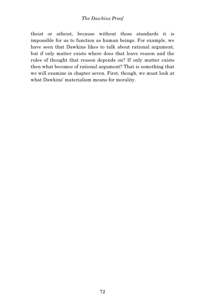# The Dawkins Proof

theist or atheist, because without those standards it is impossible for us to function as human beings. For example, we have seen that Dawkins likes to talk about rational argument, but if only matter exists where does that leave reason and the rules of thought that reason depends on? If only matter exists then what becomes of rational argument? That is something that we will examine in chapter seven. First, though, we must look at what Dawkins' materialism means for morality.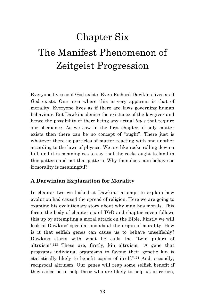# Chapter Six The Manifest Phenomenon of Zeitgeist Progression

Everyone lives as if God exists. Even Richard Dawkins lives as if God exists. One area where this is very apparent is that of morality. Everyone lives as if there are laws governing human behaviour. But Dawkins denies the existence of the lawgiver and hence the possibility of there being any actual *laws* that require our obedience. As we saw in the first chapter, if only matter exists then there can be no concept of "ought". There just is whatever there is; particles of matter reacting with one another according to the laws of physics. We are like rocks rolling down a hill, and it is meaningless to say that the rocks ought to land in this pattern and not that pattern. Why then does man behave as if morality is meaningful?

## A Darwinian Explanation for Morality

In chapter two we looked at Dawkins' attempt to explain how evolution had caused the spread of religion. Here we are going to examine his evolutionary story about why man has morals. This forms the body of chapter six of TGD and chapter seven follows this up by attempting a moral attack on the Bible. Firstly we will look at Dawkins' speculations about the origin of morality. How is it that selfish genes can cause us to behave unselfishly? Dawkins starts with what he calls the "twin pillars of altruism".123 These are, firstly, kin altruism, "A gene that programs individual organisms to favour their genetic kin is statistically likely to benefit copies of itself."124 And, secondly, reciprocal altruism. Our genes will reap some selfish benefit if they cause us to help those who are likely to help us in return,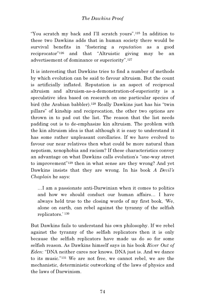"You scratch my back and I'll scratch yours".125 In addition to these two Dawkins adds that in human society there would be survival benefits in "fostering a reputation as a good reciprocator"126 and that "Altruistic giving may be an advertisement of dominance or superiority".<sup>127</sup>

It is interesting that Dawkins tries to find a number of methods by which evolution can be said to favour altruism. But the count is artificially inflated. Reputation is an aspect of reciprocal altruism and altruism-as-a-demonstration-of-superiority is a speculative idea based on research on one particular species of bird (the Arabian babbler).128 Really Dawkins just has his "twin pillars" of kinship and reciprocation, the other two options are thrown in to pad out the list. The reason that the list needs padding out is to de-emphasize kin altruism. The problem with the kin altruism idea is that although it is easy to understand it has some rather unpleasant corollaries. If we have evolved to favour our near relatives then what could be more natural than nepotism, xenophobia and racism? If these characteristics convey an advantage on what Dawkins calls evolution's "one-way street to improvement"129 then in what sense are they wrong? And yet Dawkins insists that they are wrong. In his book A Devil's Chaplain he says:

…I am a passionate anti-Darwinian when it comes to politics and how we should conduct our human affairs… I have always held true to the closing words of my first book, 'We, alone on earth, can rebel against the tyranny of the selfish replicators.'<sup>130</sup>

But Dawkins fails to understand his own philosophy. If we rebel against the tyranny of the selfish replicators then it is only because the selfish replicators have made us do so for some selfish reason. As Dawkins himself says in his book River Out of Eden: "DNA neither cares nor knows. DNA just is. And we dance to its music."131 We are not free, we cannot rebel, we are the mechanistic, deterministic outworking of the laws of physics and the laws of Darwinism.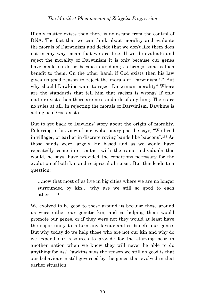If only matter exists then there is no escape from the control of DNA. The fact that we can think about morality and evaluate the morals of Darwinism and decide that we don't like them does not in any way mean that we are free. If we do evaluate and reject the morality of Darwinism it is only because our genes have made us do so because our doing so brings some selfish benefit to them. On the other hand, if God exists then his law gives us good reason to reject the morals of Darwinism.132 But why should Dawkins want to reject Darwinian morality? Where are the standards that tell him that racism is wrong? If only matter exists then there are no standards of anything. There are no rules at all. In rejecting the morals of Darwinism, Dawkins is acting as if God exists.

But to get back to Dawkins' story about the origin of morality. Referring to his view of our evolutionary past he says, "We lived in villages, or earlier in discrete roving bands like baboons".133 As those bands were largely kin based and as we would have repeatedly come into contact with the same individuals this would, he says, have provided the conditions necessary for the evolution of both kin and reciprocal altruism. But this leads to a question:

…now that most of us live in big cities where we are no longer surrounded by kin… why are we still so good to each other…<sup>134</sup>

We evolved to be good to those around us because those around us were either our genetic kin, and so helping them would promote our genes, or if they were not they would at least have the opportunity to return any favour and so benefit our genes. But why today do we help those who are not our kin and why do we expend our resources to provide for the starving poor in another nation when we know they will never be able to do anything for us? Dawkins says the reason we still do good is that our behaviour is still governed by the genes that evolved in that earlier situation: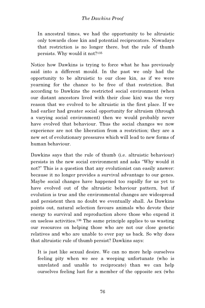In ancestral times, we had the opportunity to be altruistic only towards close kin and potential reciprocators. Nowadays that restriction is no longer there, but the rule of thumb persists. Why would it not?<sup>135</sup>

Notice how Dawkins is trying to force what he has previously said into a different mould. In the past we only had the opportunity to be altruistic to our close kin, as if we were yearning for the chance to be free of that restriction. But according to Dawkins the restricted social environment (when our distant ancestors lived with their close kin) was the very reason that we evolved to be altruistic in the first place. If we had earlier had greater social opportunity for altruism (through a varying social environment) then we would probably never have evolved that behaviour. Thus the social changes we now experience are not the liberation from a restriction; they are a new set of evolutionary pressures which will lead to new forms of human behaviour.

Dawkins says that the rule of thumb (i.e. altruistic behaviour) persists in the new social environment and asks "Why would it not?" This is a question that any evolutionist can easily answer: because it no longer provides a survival advantage to our genes. Maybe social changes have happened too rapidly for us yet to have evolved out of the altruistic behaviour pattern, but if evolution is true and the environmental changes are widespread and persistent then no doubt we eventually shall. As Dawkins points out, natural selection favours animals who devote their energy to survival and reproduction above those who expend it on useless activities.136 The same principle applies to us wasting our resources on helping those who are not our close genetic relatives and who are unable to ever pay us back. So why does that altruistic rule of thumb persist? Dawkins says:

It is just like sexual desire. We can no more help ourselves feeling pity when we see a weeping unfortunate (who is unrelated and unable to reciprocate) than we can help ourselves feeling lust for a member of the opposite sex (who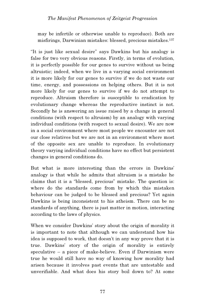may be infertile or otherwise unable to reproduce). Both are misfirings, Darwinian mistakes: blessed, precious mistakes.<sup>137</sup>

"It is just like sexual desire" says Dawkins but his analogy is false for two very obvious reasons. Firstly, in terms of evolution, it is perfectly possible for our genes to survive without us being altruistic; indeed, when we live in a varying social environment it is more likely for our genes to survive if we do not waste our time, energy, and possessions on helping others. But it is not more likely for our genes to survive if we do not attempt to reproduce. Altruism therefore is susceptible to eradication by evolutionary change whereas the reproductive instinct is not. Secondly he is answering an issue raised by a change in general conditions (with respect to altruism) by an analogy with varying individual conditions (with respect to sexual desire). We are now in a social environment where most people we encounter are not our close relatives but we are not in an environment where most of the opposite sex are unable to reproduce. In evolutionary theory varying individual conditions have no effect but persistent changes in general conditions do.

But what is more interesting than the errors in Dawkins' analogy is that while he admits that altruism is a mistake he claims that it is a "blessed, precious" mistake. The question is: where do the standards come from by which this mistaken behaviour can be judged to be blessed and precious? Yet again Dawkins is being inconsistent to his atheism. There can be no standards of anything, there is just matter in motion, interacting according to the laws of physics.

When we consider Dawkins' story about the origin of morality it is important to note that although we can understand how his idea is supposed to work, that doesn't in any way prove that it is true. Dawkins' story of the origin of morality is entirely speculative – a piece of make-believe. Even if Darwinism were true he would still have no way of knowing how morality had arisen because it involves past events that are untestable and unverifiable. And what does his story boil down to? At some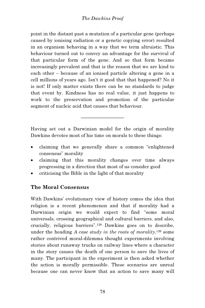point in the distant past a mutation of a particular gene (perhaps caused by ionising radiation or a genetic copying error) resulted in an organism behaving in a way that we term altruistic. This behaviour turned out to convey an advantage for the survival of that particular form of the gene. And so that form became increasingly prevalent and that is the reason that we are kind to each other – because of an ionised particle altering a gene in a cell millions of years ago. Isn't it good that that happened? No it is not! If only matter exists there can be no standards to judge that event by. Kindness has no real value, it just happens to work to the preservation and promotion of the particular segment of nucleic acid that causes that behaviour.

Having set out a Darwinian model for the origin of morality Dawkins devotes most of his time on morals to these things:

- claiming that we generally share a common "enlightened consensus" morality
- claiming that this morality changes over time always progressing in a direction that most of us consider good
- criticising the Bible in the light of that morality

## The Moral Consensus

With Dawkins' evolutionary view of history comes the idea that religion is a recent phenomenon and that if morality had a Darwinian origin we would expect to find "some moral universals, crossing geographical and cultural barriers, and also, crucially, religious barriers".138 Dawkins goes on to describe, under the heading A case study in the roots of morality, $139$  some rather contrived moral-dilemma thought experiments involving stories about runaway trucks on railway lines where a character in the story causes the death of one person to save the lives of many. The participant in the experiment is then asked whether the action is morally permissible. These scenarios are unreal because one can never know that an action to save many will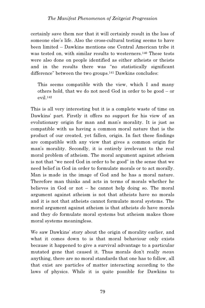certainly save them nor that it will certainly result in the loss of someone else's life. Also the cross-cultural testing seems to have been limited – Dawkins mentions one Central American tribe it was tested on, with similar results to westerners.<sup>140</sup> These tests were also done on people identified as either atheists or theists and in the results there was "no statistically significant difference" between the two groups.141 Dawkins concludes:

This seems compatible with the view, which I and many others hold, that we do not need God in order to be good – or evil.<sup>142</sup>

This is all very interesting but it is a complete waste of time on Dawkins' part. Firstly it offers no support for his view of an evolutionary origin for man and man's morality. It is just as compatible with us having a common moral nature that is the product of our created, yet fallen, origin. In fact these findings are compatible with any view that gives a common origin for man's morality. Secondly, it is entirely irrelevant to the real moral problem of atheism. The moral argument against atheism is not that "we need God in order to be good" in the sense that we need belief in God in order to formulate morals or to act morally. Man is made in the image of God and he has a moral nature. Therefore man thinks and acts in terms of morals whether he believes in God or not – he cannot help doing so. The moral argument against atheism is not that atheists have no morals and it is not that atheists cannot formulate moral systems. The moral argument against atheism is that atheists do have morals and they do formulate moral systems but atheism makes those moral systems meaningless.

We saw Dawkins' story about the origin of morality earlier, and what it comes down to is that moral behaviour only exists because it happened to give a survival advantage to a particular mutated gene that caused it. Thus morals don't really *mean* anything, there are no moral standards that one has to follow, all that exist are particles of matter interacting according to the laws of physics. While it is quite possible for Dawkins to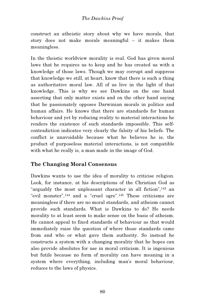construct an atheistic story about why we have morals, that story does not make morals meaningful – it makes them meaningless.

In the theistic worldview morality is real. God has given moral laws that he requires us to keep and he has created us with a knowledge of those laws. Though we may corrupt and suppress that knowledge we still, at heart, know that there is such a thing as authoritative moral law. All of us live in the light of that knowledge. This is why we see Dawkins on the one hand asserting that only matter exists and on the other hand saying that he passionately opposes Darwinian morals in politics and human affairs. He knows that there are standards for human behaviour and yet by reducing reality to material interactions he renders the existence of such standards impossible. This selfcontradiction indicates very clearly the falsity of his beliefs. The conflict is unavoidable because what he believes he is, the product of purposeless material interactions, is not compatible with what he really is, a man made in the image of God.

## The Changing Moral Consensus

Dawkins wants to use the idea of morality to criticise religion. Look, for instance, at his descriptions of the Christian God as "arguably the most unpleasant character in all fiction",<sup>143</sup> an "evil monster",144 and a "cruel ogre".145 These criticisms are meaningless if there are no moral standards, and atheism cannot provide such standards. What is Dawkins to do? He needs morality to at least seem to make sense on the basis of atheism. He cannot appeal to fixed standards of behaviour as that would immediately raise the question of where those standards came from and who or what gave them authority. So instead he constructs a system with a changing morality that he hopes can also provide absolutes for use in moral criticism. It is ingenious but futile because no form of morality can have meaning in a system where everything, including man's moral behaviour, reduces to the laws of physics.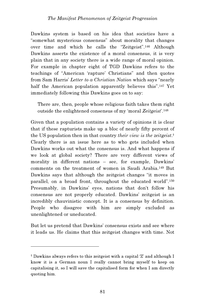Dawkins system is based on his idea that societies have a "somewhat mysterious consensus" about morality that changes over time and which he calls the "Zeitgeist".146 Although Dawkins asserts the existence of a moral consensus, it is very plain that in any society there is a wide range of moral opinion. For example in chapter eight of TGD Dawkins refers to the teachings of "American 'rapture' Christians" and then quotes from Sam Harris' Letter to a Christian Nation which says "nearly half the American population apparently believes this".<sup>147</sup> Yet immediately following this Dawkins goes on to say:

There are, then, people whose religious faith takes them right outside the enlightened consensus of my 'moral Zeitgeist'.<sup>148</sup>

Given that a population contains a variety of opinions it is clear that if these rapturists make up a bloc of nearly fifty percent of the US population then in that country their view is the zeitgeist.<sup>†</sup> Clearly there is an issue here as to who gets included when Dawkins works out what the consensus is. And what happens if we look at global society? There are very different views of morality in different nations – see, for example, Dawkins' comments on the treatment of women in Saudi Arabia.149 But Dawkins says that although the zeitgeist changes "it moves in parallel, on a broad front, throughout the educated world".<sup>150</sup> Presumably, in Dawkins' eyes, nations that don't follow his consensus are not properly educated. Dawkins' zeitgeist is an incredibly chauvinistic concept. It is a consensus by definition. People who disagree with him are simply excluded as unenlightened or uneducated.

But let us pretend that Dawkins' consensus exists and see where it leads us. He claims that this zeitgeist changes with time. Not

-

<sup>†</sup> Dawkins always refers to this zeitgeist with a capital 'Z' and although I know it is a German noun I really cannot bring myself to keep on capitalising it, so I will save the capitalised form for when I am directly quoting him.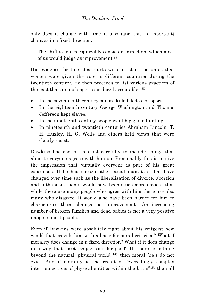only does it change with time it also (and this is important) changes in a fixed direction:

The shift is in a recognizably consistent direction, which most of us would judge as improvement.<sup>151</sup>

His evidence for this idea starts with a list of the dates that women were given the vote in different countries during the twentieth century. He then proceeds to list various practices of the past that are no longer considered acceptable: 152

- In the seventeenth century sailors killed dodos for sport.
- In the eighteenth century George Washington and Thomas Jefferson kept slaves.
- In the nineteenth century people went big game hunting.
- In nineteenth and twentieth centuries Abraham Lincoln, T. H. Huxley, H. G. Wells and others held views that were clearly racist.

Dawkins has chosen this list carefully to include things that almost everyone agrees with him on. Presumably this is to give the impression that virtually everyone is part of his great consensus. If he had chosen other social indicators that have changed over time such as the liberalisation of divorce, abortion and euthanasia then it would have been much more obvious that while there are many people who agree with him there are also many who disagree. It would also have been harder for him to characterise these changes as "improvement". An increasing number of broken families and dead babies is not a very positive image to most people.

Even if Dawkins were absolutely right about his zeitgeist how would that provide him with a basis for moral criticism? What if morality does change in a fixed direction? What if it does change in a way that most people consider good? If "there is nothing beyond the natural, physical world"153 then moral laws do not exist. And if morality is the result of "exceedingly complex interconnections of physical entities within the brain"154 then all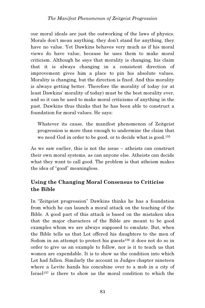our moral ideals are just the outworking of the laws of physics. Morals don't mean anything, they don't stand for anything, they have no value. Yet Dawkins behaves very much as if his moral views do have value, because he uses them to make moral criticism. Although he says that morality is changing, his claim that it is always changing in a consistent direction of improvement gives him a place to pin his absolute values. Morality is changing, but the direction is fixed. And this morality is always getting better. Therefore the morality of today (or at least Dawkins' morality of today) must be the best morality ever, and so it can be used to make moral criticisms of anything in the past. Dawkins thus thinks that he has been able to construct a foundation for moral values. He says:

Whatever its cause, the manifest phenomenon of Zeitgeist progression is more than enough to undermine the claim that we need God in order to be good, or to decide what is good.<sup>155</sup>

As we saw earlier, this is not the issue – atheists can construct their own moral systems, as can anyone else. Atheists can decide what they want to call good. The problem is that atheism makes the idea of "good" meaningless.

## Using the Changing Moral Consensus to Criticise the Bible

In "Zeitgeist progression" Dawkins thinks he has a foundation from which he can launch a moral attack on the teaching of the Bible. A good part of this attack is based on the mistaken idea that the major characters of the Bible are meant to be good examples whom we are always supposed to emulate. But, when the Bible tells us that Lot offered his daughters to the men of Sodom in an attempt to protect his guests<sup>156</sup> it does not do so in order to give us an example to follow, nor is it to teach us that women are expendable. It is to show us the condition into which Lot had fallen. Similarly the account in Judges chapter nineteen where a Levite hands his concubine over to a mob in a city of Israel<sup>157</sup> is there to show us the moral condition to which the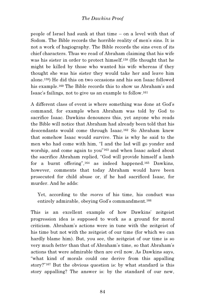people of Israel had sunk at that time – on a level with that of Sodom. The Bible records the horrible reality of men's sins. It is not a work of hagiography. The Bible records the sins even of its chief characters. Thus we read of Abraham claiming that his wife was his sister in order to protect himself.158 (He thought that he might be killed by those who wanted his wife whereas if they thought she was his sister they would take her and leave him alone.159) He did this on two occasions and his son Isaac followed his example.160 The Bible records this to show us Abraham's and Isaac's failings, not to give us an example to follow.<sup>161</sup>

A different class of event is where something was done at God's command, for example when Abraham was told by God to sacrifice Isaac. Dawkins denounces this, yet anyone who reads the Bible will notice that Abraham had already been told that his descendants would come through Isaac.162 So Abraham knew that somehow Isaac would survive. This is why he said to the men who had come with him, "I and the lad will go yonder and worship, and come again to you"163 and when Isaac asked about the sacrifice Abraham replied, "God will provide himself a lamb for a burnt offering",164 as indeed happened.165 Dawkins, however, comments that today Abraham would have been prosecuted for child abuse or, if he had sacrificed Isaac, for murder. And he adds:

Yet, according to the mores of his time, his conduct was entirely admirable, obeying God's commandment.<sup>166</sup>

This is an excellent example of how Dawkins' zeitgeist progression idea is supposed to work as a ground for moral criticism. Abraham's actions were in tune with the zeitgeist of his time but not with the zeitgeist of our time (for which we can hardly blame him). But, you see, the zeitgeist of our time is so very much better than that of Abraham's time, so that Abraham's actions that were admirable then are evil now. As Dawkins says, "what kind of morals could one derive from this appalling story?"167 But the obvious question is: by what standard is this story appalling? The answer is: by the standard of our new,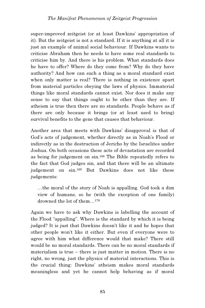super-improved zeitgeist (or at least Dawkins' appropriation of it). But the zeitgeist is not a standard. If it is anything at all it is just an example of animal social behaviour. If Dawkins wants to criticise Abraham then he needs to have some real standards to criticise him by. And there is his problem. What standards does he have to offer? Where do they come from? Why do they have authority? And how can such a thing as a moral standard exist when only matter is real? There is nothing in existence apart from material particles obeying the laws of physics. Immaterial things like moral standards cannot exist. Nor does it make any sense to say that things ought to be other than they are. If atheism is true then there are no standards. People behave as if there are only because it brings (or at least used to bring) survival benefits to the gene that causes that behaviour.

Another area that meets with Dawkins' disapproval is that of God's acts of judgement, whether directly as in Noah's Flood or indirectly as in the destruction of Jericho by the Israelites under Joshua. On both occasions these acts of devastation are recorded as being for judgement on sin.168 The Bible repeatedly refers to the fact that God judges sin, and that there will be an ultimate judgement on sin.169 But Dawkins does not like these judgements:

…the moral of the story of Noah is appalling. God took a dim view of humans, so he (with the exception of one family) drowned the lot of them…<sup>170</sup>

Again we have to ask why Dawkins is labelling the account of the Flood "appalling". Where is the standard by which it is being judged? It is just that Dawkins doesn't like it and he hopes that other people won't like it either. But even if everyone were to agree with him what difference would that make? There still would be no moral standards. There can be no moral standards if materialism is true – there is just matter in motion. There is no right, no wrong, just the physics of material interactions. This is the crucial thing: Dawkins' atheism makes moral standards meaningless and yet he cannot help behaving as if moral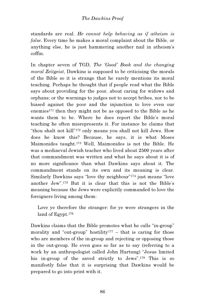standards are real. He cannot help behaving as if atheism is false. Every time he makes a moral complaint about the Bible, or anything else, he is just hammering another nail in atheism's coffin.

In chapter seven of TGD, The 'Good' Book and the changing moral Zeitgeist, Dawkins is supposed to be criticising the morals of the Bible so it is strange that he rarely mentions its moral teaching. Perhaps he thought that if people read what the Bible says about providing for the poor, about caring for widows and orphans; or the warnings to judges not to accept bribes, nor to be biased against the poor and the injunction to love even our enemies171 then they might not be as opposed to the Bible as he wants them to be. Where he does report the Bible's moral teaching he often misrepresents it. For instance he claims that "thou shalt not kill"172 only means you shall not kill Jews. How does he know this? Because, he says, it is what Moses Maimonides taught.173 Well, Maimonides is not the Bible. He was a mediaeval Jewish teacher who lived about 2500 years after that commandment was written and what he says about it is of no more significance than what Dawkins says about it. The commandment stands on its own and its meaning is clear. Similarly Dawkins says "love thy neighbour"174 just means "love another Jew".175 But it is clear that this is not the Bible's meaning because the Jews were explicitly commanded to love the foreigners living among them:

Love ye therefore the stranger: for ye were strangers in the land of Egypt.<sup>176</sup>

Dawkins claims that the Bible promotes what he calls "in-group" morality and "out-group" hostility<sup>177</sup> – that is caring for those who are members of the in-group and rejecting or opposing those in the out-group. He even goes so far as to say (referring to a work by an anthropologist called John Hartung) "Jesus limited his in-group of the saved strictly to Jews".178 This is so manifestly false that it is surprising that Dawkins would be prepared to go into print with it.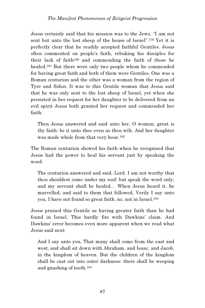Jesus certainly said that his mission was to the Jews, "I am not sent but unto the lost sheep of the house of Israel".179 Yet it is perfectly clear that he readily accepted faithful Gentiles. Jesus often commented on people's faith, rebuking his disciples for their lack of faith180 and commending the faith of those he healed.181 But there were only two people whom he commended for having great faith and both of them were Gentiles. One was a Roman centurion and the other was a woman from the region of Tyre and Sidon. It was to this Gentile woman that Jesus said that he was only sent to the lost sheep of Israel, yet when she persisted in her request for her daughter to be delivered from an evil spirit Jesus both granted her request and commended her faith:

Then Jesus answered and said unto her, O woman, great is thy faith: be it unto thee even as thou wilt. And her daughter was made whole from that very hour.<sup>182</sup>

The Roman centurion showed his faith when he recognised that Jesus had the power to heal his servant just by speaking the word:

The centurion answered and said, Lord, I am not worthy that thou shouldest come under my roof: but speak the word only, and my servant shall be healed… When Jesus heard it, he marvelled, and said to them that followed, Verily I say unto you, I have not found so great faith, no, not in Israel.<sup>183</sup>

Jesus praised this Gentile as having greater faith than he had found in Israel. This hardly fits with Dawkins' claim. And Dawkins' error becomes even more apparent when we read what Jesus said next:

And I say unto you, That many shall come from the east and west, and shall sit down with Abraham, and Isaac, and Jacob, in the kingdom of heaven. But the children of the kingdom shall be cast out into outer darkness: there shall be weeping and gnashing of teeth.184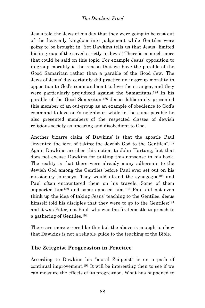Jesus told the Jews of his day that they were going to be cast out of the heavenly kingdom into judgement while Gentiles were going to be brought in. Yet Dawkins tells us that Jesus "limited his in-group of the saved strictly to Jews"! There is so much more that could be said on this topic. For example Jesus' opposition to in-group morality is the reason that we have the parable of the Good Samaritan rather than a parable of the Good Jew. The Jews of Jesus' day certainly did practice an in-group morality in opposition to God's commandment to love the stranger, and they were particularly prejudiced against the Samaritans.185 In his parable of the Good Samaritan,186 Jesus deliberately presented this member of an out-group as an example of obedience to God's command to love one's neighbour; while in the same parable he also presented members of the respected classes of Jewish religious society as uncaring and disobedient to God.

Another bizarre claim of Dawkins' is that the apostle Paul "invented the idea of taking the Jewish God to the Gentiles".<sup>187</sup> Again Dawkins ascribes this notion to John Hartung, but that does not excuse Dawkins for putting this nonsense in his book. The reality is that there were already many adherents to the Jewish God among the Gentiles before Paul ever set out on his missionary journeys. They would attend the synagogue<sup>188</sup> and Paul often encountered them on his travels. Some of them supported him<sup>189</sup> and some opposed him.<sup>190</sup> Paul did not even think up the idea of taking Jesus' teaching to the Gentiles. Jesus himself told his disciples that they were to go to the Gentiles;<sup>191</sup> and it was Peter, not Paul, who was the first apostle to preach to a gathering of Gentiles.<sup>192</sup>

There are more errors like this but the above is enough to show that Dawkins is not a reliable guide to the teaching of the Bible.

## The Zeitgeist Progression in Practice

According to Dawkins his "moral Zeitgeist" is on a path of continual improvement.193 It will be interesting then to see if we can measure the effects of its progression. What has happened to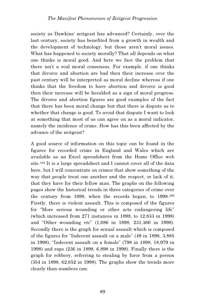society as Dawkins' zeitgeist has advanced? Certainly, over the last century, society has benefited from a growth in wealth and the development of technology, but those aren't moral issues. What has happened to society morally? That all depends on what one thinks is moral good. And here we face the problem that there isn't a real moral consensus. For example, if one thinks that divorce and abortion are bad then their increase over the past century will be interpreted as moral decline whereas if one thinks that the freedom to have abortion and divorce is good then their increase will be heralded as a sign of moral progress. The divorce and abortion figures are good examples of the fact that there has been moral change but that there is dispute as to whether that change is good. To avoid that dispute I want to look at something that most of us can agree on as a moral indicator, namely the incidence of crime. How has this been affected by the advance of the zeitgeist?

A good source of information on this topic can be found in the figures for recorded crime in England and Wales which are available as an Excel spreadsheet from the Home Office web site.194 It is a large spreadsheet and I cannot cover all of the data here, but I will concentrate on crimes that show something of the way that people treat one another and the respect, or lack of it, that they have for their fellow man. The graphs on the following pages show the historical trends in three categories of crime over the century from 1898, when the records began, to 1998.<sup>195</sup> Firstly, there is violent assault. This is composed of the figures for "More serious wounding or other acts endangering life" (which increased from 271 instances in 1898, to 12,833 in 1998) and "Other wounding etc" (1,086 in 1898, 231,360 in 1998). Secondly there is the graph for sexual assault which is composed of the figures for "Indecent assault on a male" (49 in 1898, 3,885 in 1998), "Indecent assault on a female" (798 in 1898, 18,979 in 1998) and rape (236 in 1898, 6,898 in 1998). Finally there is the graph for robbery, referring to stealing by force from a person (354 in 1898, 62,652 in 1998). The graphs show the trends more clearly than numbers can: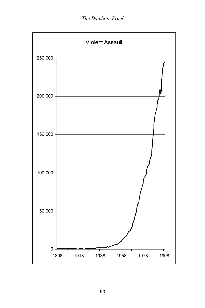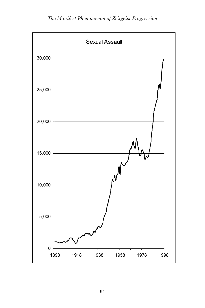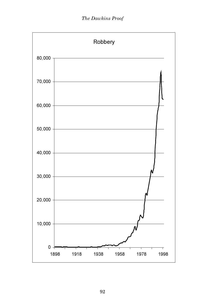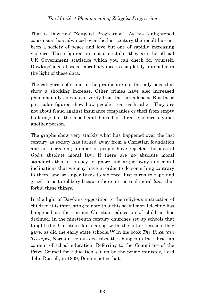That is Dawkins' "Zeitgeist Progression". As his "enlightened consensus" has advanced over the last century the result has not been a society of peace and love but one of rapidly increasing violence. These figures are not a mistake, they are the official UK Government statistics which you can check for yourself. Dawkins' idea of social moral advance is completely untenable in the light of these data.

The categories of crime in the graphs are not the only ones that show a shocking increase. Other crimes have also increased phenomenally as you can verify from the spreadsheet. But these particular figures show how people treat each other. They are not about fraud against insurance companies or theft from empty buildings but the blood and hatred of direct violence against another person.

The graphs show very starkly what has happened over the last century as society has turned away from a Christian foundation and an increasing number of people have rejected the idea of God's absolute moral law. If there are no absolute moral standards then it is easy to ignore and argue away any moral inclinations that we may have in order to do something contrary to them; and so anger turns to violence, lust turns to rape and greed turns to robbery because there are no real moral laws that forbid these things.

In the light of Dawkins' opposition to the religious instruction of children it is interesting to note that this social moral decline has happened as the serious Christian education of children has declined. In the nineteenth century churches set up schools that taught the Christian faith along with the other lessons they gave, as did the early state schools.<sup>196</sup> In his book The Uncertain Trumpet, Norman Dennis describes the changes in the Christian content of school education. Referring to the Committee of the Privy Council for Education set up by the prime minister, Lord John Russell, in 1839, Dennis notes that: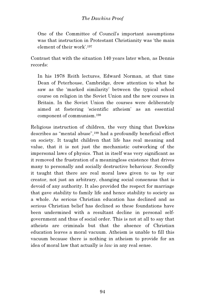One of the Committee of Council's important assumptions was that instruction in Protestant Christianity was 'the main element of their work'.<sup>197</sup>

Contrast that with the situation 140 years later when, as Dennis records:

In his 1978 Reith lectures, Edward Norman, at that time Dean of Peterhouse, Cambridge, drew attention to what he saw as the 'marked similarity' between the typical school course on religion in the Soviet Union and the new courses in Britain. In the Soviet Union the courses were deliberately aimed at fostering 'scientific atheism' as an essential component of communism.<sup>198</sup>

Religious instruction of children, the very thing that Dawkins describes as "mental abuse",199 had a profoundly beneficial effect on society. It taught children that life has real meaning and value, that it is not just the mechanistic outworking of the impersonal laws of physics. That in itself was very significant as it removed the frustration of a meaningless existence that drives many to personally and socially destructive behaviour. Secondly it taught that there are real moral laws given to us by our creator, not just an arbitrary, changing social consensus that is devoid of any authority. It also provided the respect for marriage that gave stability to family life and hence stability to society as a whole. As serious Christian education has declined and as serious Christian belief has declined so these foundations have been undermined with a resultant decline in personal selfgovernment and thus of social order. This is not at all to say that atheists are criminals but that the absence of Christian education leaves a moral vacuum. Atheism is unable to fill this vacuum because there is nothing in atheism to provide for an idea of moral law that actually is law in any real sense.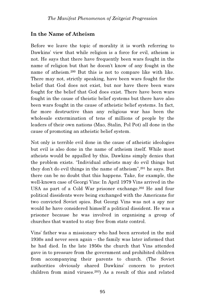## In the Name of Atheism

Before we leave the topic of morality it is worth referring to Dawkins' view that while religion is a force for evil, atheism is not. He says that there have frequently been wars fought in the name of religion but that he doesn't know of any fought in the name of atheism.200 But this is not to compare like with like. There may not, strictly speaking, have been wars fought for the belief that God does not exist, but nor have there been wars fought for the belief that God does exist. There have been wars fought in the cause of theistic belief systems but there have also been wars fought in the cause of atheistic belief systems. In fact, far more destructive than any religious war has been the wholesale extermination of tens of millions of people by the leaders of their own nations (Mao, Stalin, Pol Pot) all done in the cause of promoting an atheistic belief system.

Not only is terrible evil done in the cause of atheistic ideologies but evil is also done in the name of atheism itself. While most atheists would be appalled by this, Dawkins simply denies that the problem exists. "Individual atheists may do evil things but they don't do evil things in the name of atheism",201 he says. But there can be no doubt that this happens. Take, for example, the well-known case of Georgi Vins: In April 1979 Vins arrived in the USA as part of a Cold War prisoner exchange.<sup>202</sup> He and four political dissidents were being exchanged with the Americans for two convicted Soviet spies. But Georgi Vins was not a spy nor would he have considered himself a political dissident. He was a prisoner because he was involved in organising a group of churches that wanted to stay free from state control.

Vins' father was a missionary who had been arrested in the mid 1930s and never seen again – the family was later informed that he had died. In the late 1950s the church that Vins attended gave in to pressure from the government and prohibited children from accompanying their parents to church. (The Soviet authorities obviously shared Dawkins' concern to protect children from mind viruses.203) As a result of this and related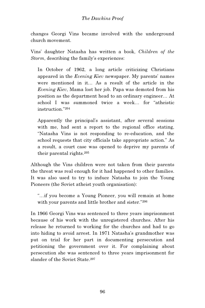changes Georgi Vins became involved with the underground church movement.

Vins' daughter Natasha has written a book, Children of the Storm, describing the family's experiences:

In October of 1962, a long article criticizing Christians appeared in the Evening Kiev newspaper. My parents' names were mentioned in it… As a result of the article in the Evening Kiev, Mama lost her job. Papa was demoted from his position as the department head to an ordinary engineer… At school I was summoned twice a week… for "atheistic instruction."<sup>204</sup>

Apparently the principal's assistant, after several sessions with me, had sent a report to the regional office stating, "Natasha Vins is not responding to re-education, and the school requests that city officials take appropriate action." As a result, a court case was opened to deprive my parents of their parental rights.<sup>205</sup>

Although the Vins children were not taken from their parents the threat was real enough for it had happened to other families. It was also used to try to induce Natasha to join the Young Pioneers (the Soviet atheist youth organisation):

"…if you become a Young Pioneer, you will remain at home with your parents and little brother and sister."<sup>206</sup>

In 1966 Georgi Vins was sentenced to three years imprisonment because of his work with the unregistered churches. After his release he returned to working for the churches and had to go into hiding to avoid arrest. In 1971 Natasha's grandmother was put on trial for her part in documenting persecution and petitioning the government over it. For complaining about persecution she was sentenced to three years imprisonment for slander of the Soviet State.207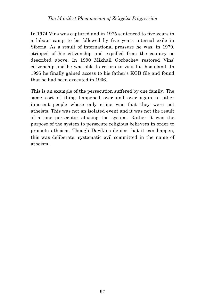In 1974 Vins was captured and in 1975 sentenced to five years in a labour camp to be followed by five years internal exile in Siberia. As a result of international pressure he was, in 1979, stripped of his citizenship and expelled from the country as described above. In 1990 Mikhail Gorbachev restored Vins' citizenship and he was able to return to visit his homeland. In 1995 he finally gained access to his father's KGB file and found that he had been executed in 1936.

This is an example of the persecution suffered by one family. The same sort of thing happened over and over again to other innocent people whose only crime was that they were not atheists. This was not an isolated event and it was not the result of a lone persecutor abusing the system. Rather it was the purpose of the system to persecute religious believers in order to promote atheism. Though Dawkins denies that it can happen, this was deliberate, systematic evil committed in the name of atheism.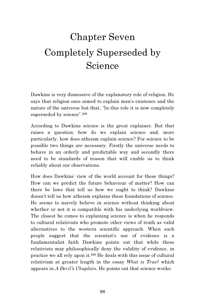# Chapter Seven Completely Superseded by Science

Dawkins is very dismissive of the explanatory role of religion. He says that religion once aimed to explain man's existence and the nature of the universe but that, "In this role it is now completely superseded by science".<sup>208</sup>

According to Dawkins science is the great explainer. But that raises a question: how do we explain science and, more particularly, how does atheism explain science? For science to be possible two things are necessary. Firstly the universe needs to behave in an orderly and predictable way and secondly there need to be standards of reason that will enable us to think reliably about our observations.

How does Dawkins' view of the world account for these things? How can we predict the future behaviour of matter? How can there be laws that tell us how we ought to think? Dawkins doesn't tell us how atheism explains these foundations of science. He seems to naively believe in science without thinking about whether or not it is compatible with his underlying worldview. The closest he comes to explaining science is when he responds to cultural relativists who promote other views of truth as valid alternatives to the western scientific approach. When such people suggest that the scientist's use of evidence is a fundamentalist faith Dawkins points out that while these relativists may philosophically deny the validity of evidence, in practice we all rely upon it.209 He deals with this issue of cultural relativism at greater length in the essay What is True? which appears in A Devil's Chaplain. He points out that science works: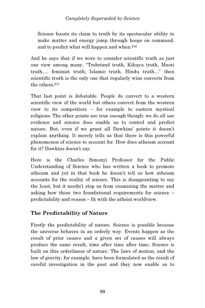Science boosts its claim to truth by its spectacular ability to make matter and energy jump through hoops on command, and to predict what will happen and when.<sup>210</sup>

And he says that if we were to consider scientific truth as just one view among many, "Trobriand truth, Kikuyu truth, Maori truth,… feminist truth, Islamic truth, Hindu truth…" then scientific truth is the only one that regularly wins converts from the others.<sup>211</sup>

That last point is debatable. People do convert to a western scientific view of the world but others convert from the western view to its competitors – for example to eastern mystical religions. The other points are true enough though: we do all use evidence and science does enable us to control and predict nature. But, even if we grant all Dawkins' points it doesn't explain anything. It merely tells us that there is this powerful phenomenon of science to account for. How does atheism account for it? Dawkins doesn't say.

Here is the Charles Simonyi Professor for the Public Understanding of Science who has written a book to promote atheism and yet in that book he doesn't tell us how atheism accounts for the reality of science. This is disappointing to say the least, but it needn't stop us from examining the matter and asking how those two foundational requirements for science – predictability and reason – fit with the atheist worldview.

## The Predictability of Nature

Firstly the predictability of nature. Science is possible because the universe behaves in an orderly way. Events happen as the result of prior causes and a given set of causes will always produce the same result, time after time after time. Science is built on this orderliness of nature. The laws of motion, and the law of gravity, for example, have been formulated as the result of careful investigation in the past and they now enable us to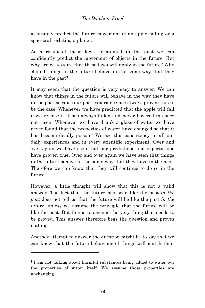accurately predict the future movement of an apple falling or a spacecraft orbiting a planet.

As a result of these laws formulated in the past we can confidently predict the movement of objects in the future. But why are we so sure that these laws will apply in the future? Why should things in the future behave in the same way that they have in the past?

It may seem that the question is very easy to answer. We can know that things in the future will behave in the way they have in the past because our past experience has always proven this to be the case. Whenever we have predicted that the apple will fall if we release it it has always fallen and never hovered in space nor risen. Whenever we have drunk a glass of water we have never found that the properties of water have changed so that it has become deadly poison.† We see this consistency in all our daily experiences and in every scientific experiment. Over and over again we have seen that our predictions and expectations have proven true. Over and over again we have seen that things in the future behave in the same way that they have in the past. Therefore we can know that they will continue to do so in the future.

However, a little thought will show that this is not a valid answer. The fact that the future has been like the past in the past does not tell us that the future will be like the past in the future, unless we assume the principle that the future will be like the past. But this is to assume the very thing that needs to be proved. This answer therefore begs the question and proves nothing.

Another attempt to answer the question might be to say that we can know that the future behaviour of things will match their

j

<sup>†</sup> I am not talking about harmful substances being added to water but the properties of water itself. We assume those properties are unchanging.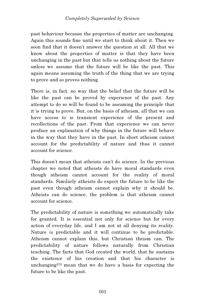past behaviour because the properties of matter are unchanging. Again this sounds fine until we start to think about it. Then we soon find that it doesn't answer the question at all. All that we know about the properties of matter is that they have been unchanging in the past but that tells us nothing about the future unless we assume that the future will be like the past. This again means assuming the truth of the thing that we are trying to prove and so proves nothing.

There is, in fact, no way that the belief that the future will be like the past can be proved by experience of the past. Any attempt to do so will be found to be assuming the principle that it is trying to prove. But, on the basis of atheism, all that we can have access to is transient experience of the present and recollections of the past. From that experience we can never produce an explanation of why things in the future will behave in the way that they have in the past. In short atheism cannot account for the predictability of nature and thus it cannot account for science.

This doesn't mean that atheists can't do science. In the previous chapter we noted that atheists do have moral standards even though atheism cannot account for the reality of moral standards. Similarly atheists do expect the future to be like the past even though atheism cannot explain why it should be. Atheists can do science, the problem is that atheism cannot account for science.

The predictability of nature is something we automatically take for granted. It is essential not only for science but for every action of everyday life, and I am not at all denying its reality. Nature is predictable and it will continue to be predictable. Atheism cannot explain this, but Christian theism can. The predictability of nature follows naturally from Christian teaching. The facts that God created the world, that he sustains the existence of his creation and that his character is unchanging212 mean that we do have a basis for expecting the future to be like the past.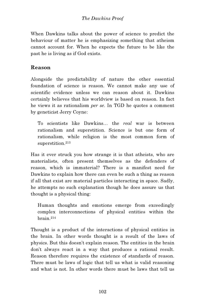When Dawkins talks about the power of science to predict the behaviour of matter he is emphasizing something that atheism cannot account for. When he expects the future to be like the past he is living as if God exists.

## Reason

Alongside the predictability of nature the other essential foundation of science is reason. We cannot make any use of scientific evidence unless we can reason about it. Dawkins certainly believes that his worldview is based on reason. In fact he views it as rationalism *per se*. In TGD he quotes a comment by geneticist Jerry Coyne:

To scientists like Dawkins… the real war is between rationalism and superstition. Science is but one form of rationalism, while religion is the most common form of superstition.<sup>213</sup>

Has it ever struck you how strange it is that atheists, who are materialists, often present themselves as the defenders of reason, which is immaterial? There is a manifest need for Dawkins to explain how there can even be such a thing as reason if all that exist are material particles interacting in space. Sadly, he attempts no such explanation though he does assure us that thought is a physical thing:

Human thoughts and emotions emerge from exceedingly complex interconnections of physical entities within the brain.<sup>214</sup>

Thought is a product of the interactions of physical entities in the brain. In other words thought is a result of the laws of physics. But this doesn't explain reason. The entities in the brain don't always react in a way that produces a rational result. Reason therefore requires the existence of standards of reason. There must be laws of logic that tell us what is valid reasoning and what is not. In other words there must be laws that tell us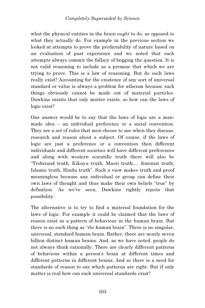what the physical entities in the brain *ought* to do, as opposed to what they actually do. For example in the previous section we looked at attempts to prove the predictability of nature based on an evaluation of past experience and we noted that such attempts always commit the fallacy of begging the question. It is not valid reasoning to include as a premise that which we are trying to prove. This is a law of reasoning. But do such laws really exist? Accounting for the existence of any sort of universal standard or value is always a problem for atheism because such things obviously cannot be made out of material particles. Dawkins insists that only matter exists, so how can the laws of logic exist?

One answer would be to say that the laws of logic are a manmade idea – an individual preference or a social convention. They are a set of rules that men choose to use when they discuss, research and reason about a subject. Of course, if the laws of logic are just a preference or a convention then different individuals and different societies will have different preferences and along with western scientific truth there will also be "Trobriand truth, Kikuyu truth, Maori truth,… feminist truth, Islamic truth, Hindu truth". Such a view makes truth and proof meaningless because any individual or group can define their own laws of thought and thus make their own beliefs "true" by definition. As we've seen, Dawkins rightly rejects that possibility.

The alternative is to try to find a material foundation for the laws of logic. For example it could be claimed that the laws of reason exist as a pattern of behaviour in the human brain. But there is no such thing as "the human brain". There is no singular, universal, standard human brain. Rather, there are nearly seven billion distinct human brains. And, as we have noted, people do not always think rationally. There are clearly different patterns of behaviour within a person's brain at different times and different patterns in different brains. And so there is a need for standards of reason to say which patterns are right. But if only matter is real how can such universal standards exist?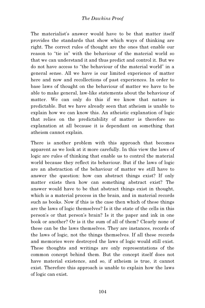The materialist's answer would have to be that matter itself provides the standards that show which ways of thinking are right. The correct rules of thought are the ones that enable our reason to "tie in" with the behaviour of the material world so that we can understand it and thus predict and control it. But we do not have access to "the behaviour of the material world" in a general sense. All we have is our limited experience of matter here and now and recollections of past experiences. In order to base laws of thought on the behaviour of matter we have to be able to make general, law-like statements about the behaviour of matter. We can only do this if we know that nature is predictable. But we have already seen that atheism is unable to explain how we can know this. An atheistic explanation of logic that relies on the predictability of matter is therefore no explanation at all because it is dependant on something that atheism cannot explain.

There is another problem with this approach that becomes apparent as we look at it more carefully. In this view the laws of logic are rules of thinking that enable us to control the material world because they reflect its behaviour. But if the laws of logic are an abstraction of the behaviour of matter we still have to answer the question: how can abstract things exist? If only matter exists then how can something abstract exist? The answer would have to be that abstract things exist in thought, which is a material process in the brain, and in material records such as books. Now if this is the case then which of these things are the laws of logic themselves? Is it the state of the cells in this person's or that person's brain? Is it the paper and ink in one book or another? Or is it the sum of all of them? Clearly none of these can be the laws themselves. They are instances, records of the laws of logic, not the things themselves. If all these records and memories were destroyed the laws of logic would still exist. These thoughts and writings are only representations of the common concept behind them. But the concept itself does not have material existence, and so, if atheism is true, it cannot exist. Therefore this approach is unable to explain how the laws of logic can exist.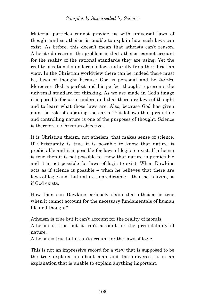Material particles cannot provide us with universal laws of thought and so atheism is unable to explain how such laws can exist. As before, this doesn't mean that atheists can't reason. Atheists do reason, the problem is that atheism cannot account for the reality of the rational standards they are using. Yet the reality of rational standards follows naturally from the Christian view. In the Christian worldview there can be, indeed there must be, laws of thought because God is personal and he thinks. Moreover, God is perfect and his perfect thought represents the universal standard for thinking. As we are made in God's image it is possible for us to understand that there are laws of thought and to learn what those laws are. Also, because God has given man the role of subduing the earth, $2^{15}$  it follows that predicting and controlling nature is one of the purposes of thought. Science is therefore a Christian objective.

It is Christian theism, not atheism, that makes sense of science. If Christianity is true it is possible to know that nature is predictable and it is possible for laws of logic to exist. If atheism is true then it is not possible to know that nature is predictable and it is not possible for laws of logic to exist. When Dawkins acts as if science is possible – when he believes that there are laws of logic and that nature is predictable – then he is living as if God exists.

How then can Dawkins seriously claim that atheism is true when it cannot account for the necessary fundamentals of human life and thought?

Atheism is true but it can't account for the reality of morals. Atheism is true but it can't account for the predictability of nature.

Atheism is true but it can't account for the laws of logic.

This is not an impressive record for a view that is supposed to be the true explanation about man and the universe. It is an explanation that is unable to explain anything important.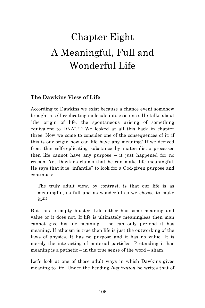# Chapter Eight A Meaningful, Full and Wonderful Life

## The Dawkins View of Life

According to Dawkins we exist because a chance event somehow brought a self-replicating molecule into existence. He talks about "the origin of life, the spontaneous arising of something equivalent to DNA".216 We looked at all this back in chapter three. Now we come to consider one of the consequences of it: if this is our origin how can life have any meaning? If we derived from this self-replicating substance by materialistic processes then life cannot have any purpose – it just happened for no reason. Yet Dawkins claims that he can make life meaningful. He says that it is "infantile" to look for a God-given purpose and continues:

The truly adult view, by contrast, is that our life is as meaningful, as full and as wonderful as we choose to make it.<sup>217</sup>

But this is empty bluster. Life either has some meaning and value or it does not. If life is ultimately meaningless then man cannot give his life meaning – he can only pretend it has meaning. If atheism is true then life is just the outworking of the laws of physics. It has no purpose and it has no value. It is merely the interacting of material particles. Pretending it has meaning is a pathetic – in the true sense of the word – sham.

Let's look at one of those adult ways in which Dawkins gives meaning to life. Under the heading Inspiration he writes that of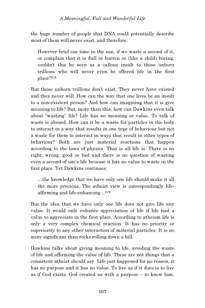the huge number of people that DNA could potentially describe most of them will never exist, and therefore:

However brief our time in the sun, if we waste a second of it, or complain that it is dull or barren or (like a child) boring, couldn't this be seen as a callous insult to those unborn trillions who will never even be offered life in the first place?<sup>218</sup>

But those unborn trillions don't exist. They never have existed and they never will. How can the way that one lives be an insult to a non-existent person? And how can imagining that it is give meaning to life? But, more than this, how can Dawkins even talk about "wasting" life? Life has no meaning or value. To talk of waste is absurd. How can it be a waste for particles in the body to interact in a way that results in one type of behaviour but not a waste for them to interact in ways that result in other types of behaviour? Both are just material reactions that happen according to the laws of physics. That is all life is. There is no right, wrong, good or bad and there is no question of wasting even a second of one's life because it has no value to waste in the first place. Yet Dawkins continues:

…the knowledge that we have only one life should make it all the more precious. The atheist view is correspondingly lifeaffirming and life-enhancing…<sup>219</sup>

But the idea that we have only one life does not give life any value. It would only enhance appreciation of life if life had a value to appreciate in the first place. According to atheism life is only a very complex chemical reaction. It has no priority or superiority to any other interaction of material particles. It is no more significant than rocks rolling down a hill.

Dawkins talks about giving meaning to life, avoiding the waste of life and affirming the value of life. These are not things that a consistent atheist should say. Life just happened for no reason, it has no purpose and it has no value. To live as if it does is to live as if God exists. God created us with a purpose – to know him,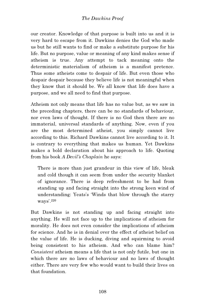our creator. Knowledge of that purpose is built into us and it is very hard to escape from it. Dawkins denies the God who made us but he still wants to find or make a substitute purpose for his life. But no purpose, value or meaning of any kind makes sense if atheism is true. Any attempt to tack meaning onto the deterministic materialism of atheism is a manifest pretence. Thus some atheists come to despair of life. But even those who despair despair because they believe life is not meaningful when they know that it should be. We all know that life does have a purpose, and we all need to find that purpose.

Atheism not only means that life has no value but, as we saw in the preceding chapters, there can be no standards of behaviour, nor even laws of thought. If there is no God then there are no immaterial, universal standards of anything. Now, even if you are the most determined atheist, you simply cannot live according to this. Richard Dawkins cannot live according to it. It is contrary to everything that makes us human. Yet Dawkins makes a bold declaration about his approach to life. Quoting from his book A Devil's Chaplain he says:

There is more than just grandeur in this view of life, bleak and cold though it can seem from under the security blanket of ignorance. There is deep refreshment to be had from standing up and facing straight into the strong keen wind of understanding: Yeats's 'Winds that blow through the starry ways'.<sup>220</sup>

But Dawkins is not standing up and facing straight into anything. He will not face up to the implications of atheism for morality. He does not even consider the implications of atheism for science. And he is in denial over the effect of atheist belief on the value of life. He is ducking, diving and squirming to avoid being consistent to his atheism. And who can blame him? Consistent atheism means a life that is not only futile, but one in which there are no laws of behaviour and no laws of thought either. There are very few who would want to build their lives on that foundation.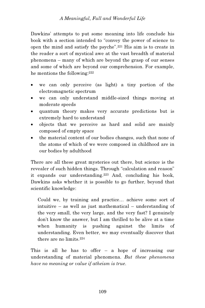# A Meaningful, Full and Wonderful Life

Dawkins' attempts to put some meaning into life conclude his book with a section intended to "convey the power of science to open the mind and satisfy the psyche".221 His aim is to create in the reader a sort of mystical awe at the vast breadth of material phenomena – many of which are beyond the grasp of our senses and some of which are beyond our comprehension. For example, he mentions the following:<sup>222</sup>

- we can only perceive (as light) a tiny portion of the electromagnetic spectrum
- we can only understand middle-sized things moving at moderate speeds
- quantum theory makes very accurate predictions but is extremely hard to understand
- objects that we perceive as hard and solid are mainly composed of empty space
- the material content of our bodies changes, such that none of the atoms of which of we were composed in childhood are in our bodies by adulthood

There are all these great mysteries out there, but science is the revealer of such hidden things. Through "calculation and reason" it expands our understanding.223 And, concluding his book, Dawkins asks whether it is possible to go further, beyond that scientific knowledge:

Could we, by training and practice… achieve some sort of intuitive – as well as just mathematical – understanding of the very small, the very large, and the very fast? I genuinely don't know the answer, but I am thrilled to be alive at a time when humanity is pushing against the limits of understanding. Even better, we may eventually discover that there are no limits 224

This is all he has to offer – a hope of increasing our understanding of material phenomena. But these phenomena have no meaning or value if atheism is true.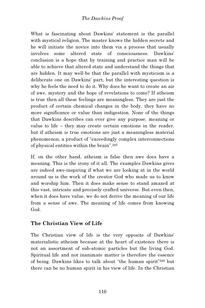What is fascinating about Dawkins' statement is the parallel with mystical religion. The master knows the hidden secrets and he will initiate the novice into them via a process that usually involves some altered state of consciousness. Dawkins' conclusion is a hope that by training and practice man will be able to achieve that altered state and understand the things that are hidden. It may well be that the parallel with mysticism is a deliberate one on Dawkins' part, but the interesting question is why he feels the need to do it. Why does he want to create an air of awe, mystery and the hope of revelations to come? If atheism is true then all these feelings are meaningless. They are just the product of certain chemical changes in the body, they have no more significance or value than indigestion. None of the things that Dawkins describes can ever give any purpose, meaning or value to life – they may create certain emotions in the reader, but if atheism is true emotions are just a meaningless material phenomenon, a product of "exceedingly complex interconnections of physical entities within the brain".<sup>225</sup>

If, on the other hand, atheism is false then awe does have a meaning. This is the irony of it all. The examples Dawkins gives are indeed awe-inspiring if what we are looking at in the world around us is the work of the creator God who made us to know and worship him. Then it does make sense to stand amazed at this vast, intricate and precisely crafted universe. But even then, when it does have value, we do not derive the meaning of our life from a sense of awe. The meaning of life comes from knowing God.

# The Christian View of Life

The Christian view of life is the very opposite of Dawkins' materialistic atheism because at the heart of existence there is not an assortment of sub-atomic particles but the living God. Spiritual life and not inanimate matter is therefore the essence of being. Dawkins likes to talk about "the human spirit"226 but there can be no human spirit in his view of life. In the Christian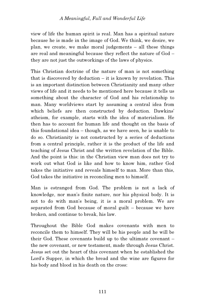### A Meaningful, Full and Wonderful Life

view of life the human spirit is real. Man has a spiritual nature because he is made in the image of God. We think, we desire, we plan, we create, we make moral judgements – all these things are real and meaningful because they reflect the nature of God – they are not just the outworkings of the laws of physics.

This Christian doctrine of the nature of man is not something that is discovered by deduction – it is known by revelation. This is an important distinction between Christianity and many other views of life and it needs to be mentioned here because it tells us something about the character of God and his relationship to man. Many worldviews start by assuming a central idea from which beliefs are then constructed by deduction. Dawkins' atheism, for example, starts with the idea of materialism. He then has to account for human life and thought on the basis of this foundational idea – though, as we have seen, he is unable to do so. Christianity is not constructed by a series of deductions from a central principle, rather it is the product of the life and teaching of Jesus Christ and the written revelation of the Bible. And the point is this: in the Christian view man does not try to work out what God is like and how to know him, rather God takes the initiative and reveals himself to man. More than this, God takes the initiative in reconciling men to himself.

Man is estranged from God. The problem is not a lack of knowledge, nor man's finite nature, nor his physical body. It is not to do with man's being, it is a moral problem. We are separated from God because of moral guilt – because we have broken, and continue to break, his law.

Throughout the Bible God makes covenants with men to reconcile them to himself. They will be his people and he will be their God. These covenants build up to the ultimate covenant – the new covenant, or new testament, made through Jesus Christ. Jesus set out the heart of this covenant when he established the Lord's Supper, in which the bread and the wine are figures for his body and blood in his death on the cross: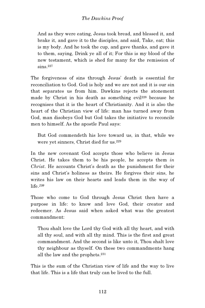And as they were eating, Jesus took bread, and blessed it, and brake it, and gave it to the disciples, and said, Take, eat; this is my body. And he took the cup, and gave thanks, and gave it to them, saying, Drink ye all of it; For this is my blood of the new testament, which is shed for many for the remission of sins.<sup>227</sup>

The forgiveness of sins through Jesus' death is essential for reconciliation to God. God is holy and we are not and it is our sin that separates us from him. Dawkins rejects the atonement made by Christ in his death as something evil<sup>228</sup> because he recognises that it is the heart of Christianity. And it is also the heart of the Christian view of life: man has turned away from God, man disobeys God but God takes the initiative to reconcile men to himself. As the apostle Paul says:

But God commendeth his love toward us, in that, while we were yet sinners, Christ died for us.<sup>229</sup>

In the new covenant God accepts those who believe in Jesus Christ. He takes them to be his people, he accepts them in Christ. He accounts Christ's death as the punishment for their sins and Christ's holiness as theirs. He forgives their sins, he writes his law on their hearts and leads them in the way of life.<sup>230</sup>

Those who come to God through Jesus Christ then have a purpose in life: to know and love God, their creator and redeemer. As Jesus said when asked what was the greatest commandment:

Thou shalt love the Lord thy God with all thy heart, and with all thy soul, and with all thy mind. This is the first and great commandment. And the second is like unto it, Thou shalt love thy neighbour as thyself. On these two commandments hang all the law and the prophets.<sup>231</sup>

This is the sum of the Christian view of life and the way to live that life. This is a life that truly can be lived to the full.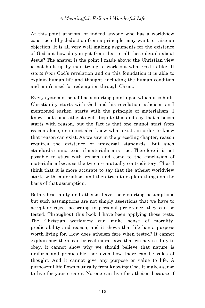#### A Meaningful, Full and Wonderful Life

At this point atheists, or indeed anyone who has a worldview constructed by deduction from a principle, may want to raise an objection: It is all very well making arguments for the existence of God but how do you get from that to all these details about Jesus? The answer is the point I made above: the Christian view is not built up by man trying to work out what God is like. It starts from God's revelation and on this foundation it is able to explain human life and thought, including the human condition and man's need for redemption through Christ.

Every system of belief has a starting point upon which it is built. Christianity starts with God and his revelation; atheism, as I mentioned earlier, starts with the principle of materialism. I know that some atheists will dispute this and say that atheism starts with reason, but the fact is that one cannot start from reason alone, one must also know what exists in order to know that reason can exist. As we saw in the preceding chapter, reason requires the existence of universal standards. But such standards cannot exist if materialism is true. Therefore it is not possible to start with reason and come to the conclusion of materialism because the two are mutually contradictory. Thus I think that it is more accurate to say that the atheist worldview starts with materialism and then tries to explain things on the basis of that assumption.

Both Christianity and atheism have their starting assumptions but such assumptions are not simply assertions that we have to accept or reject according to personal preference, they can be tested. Throughout this book I have been applying those tests. The Christian worldview can make sense of morality, predictability and reason, and it shows that life has a purpose worth living for. How does atheism fare when tested? It cannot explain how there can be real moral laws that we have a duty to obey, it cannot show why we should believe that nature is uniform and predictable, nor even how there can be rules of thought. And it cannot give any purpose or value to life. A purposeful life flows naturally from knowing God. It makes sense to live for your creator. No one can live for atheism because if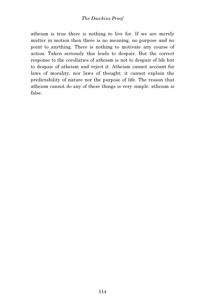atheism is true there is nothing to live for. If we are merely matter in motion then there is no meaning, no purpose and no point to anything. There is nothing to motivate any course of action. Taken seriously this leads to despair. But the correct response to the corollaries of atheism is not to despair of life but to despair of atheism and reject it. Atheism cannot account for laws of morality, nor laws of thought; it cannot explain the predictability of nature nor the purpose of life. The reason that atheism cannot do any of these things is very simple: atheism is false.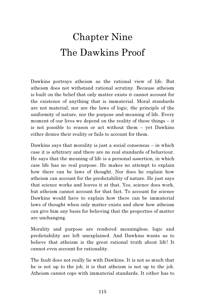# Chapter Nine The Dawkins Proof

Dawkins portrays atheism as the rational view of life. But atheism does not withstand rational scrutiny. Because atheism is built on the belief that only matter exists it cannot account for the existence of anything that is immaterial. Moral standards are not material; nor are the laws of logic, the principle of the uniformity of nature, nor the purpose and meaning of life. Every moment of our lives we depend on the reality of these things – it is not possible to reason or act without them – yet Dawkins either denies their reality or fails to account for them.

Dawkins says that morality is just a social consensus – in which case it is arbitrary and there are no real standards of behaviour. He says that the meaning of life is a personal assertion, in which case life has no real purpose. He makes no attempt to explain how there can be laws of thought. Nor does he explain how atheism can account for the predictability of nature. He just says that science works and leaves it at that. Yes, science does work, but atheism cannot account for that fact. To account for science Dawkins would have to explain how there can be immaterial laws of thought when only matter exists and show how atheism can give him any basis for believing that the properties of matter are unchanging.

Morality and purpose are rendered meaningless, logic and predictability are left unexplained. And Dawkins wants us to believe that atheism is the great rational truth about life! It cannot even account for rationality.

The fault does not really lie with Dawkins. It is not so much that he is not up to the job, it is that atheism is not up to the job. Atheism cannot cope with immaterial standards. It either has to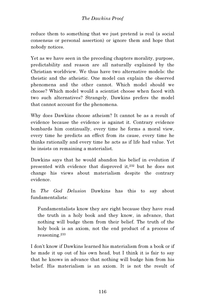reduce them to something that we just pretend is real (a social consensus or personal assertion) or ignore them and hope that nobody notices.

Yet as we have seen in the preceding chapters morality, purpose, predictability and reason are all naturally explained by the Christian worldview. We thus have two alternative models: the theistic and the atheistic. One model can explain the observed phenomena and the other cannot. Which model should we choose? Which model would a scientist choose when faced with two such alternatives? Strangely, Dawkins prefers the model that cannot account for the phenomena.

Why does Dawkins choose atheism? It cannot be as a result of evidence because the evidence is against it. Contrary evidence bombards him continually, every time he forms a moral view, every time he predicts an effect from its cause, every time he thinks rationally and every time he acts as if life had value. Yet he insists on remaining a materialist.

Dawkins says that he would abandon his belief in evolution if presented with evidence that disproved it,232 but he does not change his views about materialism despite the contrary evidence.

In The God Delusion Dawkins has this to say about fundamentalists:

Fundamentalists know they are right because they have read the truth in a holy book and they know, in advance, that nothing will budge them from their belief. The truth of the holy book is an axiom, not the end product of a process of reasoning.<sup>233</sup>

I don't know if Dawkins learned his materialism from a book or if he made it up out of his own head, but I think it is fair to say that he knows in advance that nothing will budge him from his belief. His materialism is an axiom. It is not the result of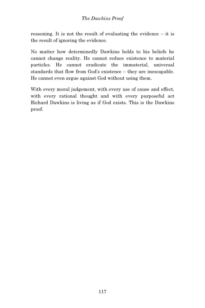reasoning. It is not the result of evaluating the evidence – it is the result of ignoring the evidence.

No matter how determinedly Dawkins holds to his beliefs he cannot change reality. He cannot reduce existence to material particles. He cannot eradicate the immaterial, universal standards that flow from God's existence – they are inescapable. He cannot even argue against God without using them.

With every moral judgement, with every use of cause and effect, with every rational thought and with every purposeful act Richard Dawkins is living as if God exists. This is the Dawkins proof.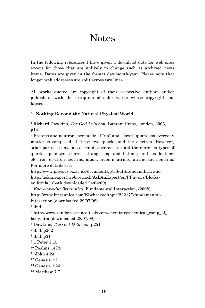In the following references I have given a download date for web sites except for those that are unlikely to change such as archived news items. Dates are given in the format day/month/year. Please note that longer web addresses are split across two lines.

All works quoted are copyright of their respective authors and/or publishers with the exception of older works whose copyright has lapsed.

### 1. Nothing Beyond the Natural Physical World

<sup>1</sup> Richard Dawkins, *The God Delusion*, Bantam Press, London, 2006, p14

2 Protons and neutrons are made of "up" and "down" quarks so everyday matter is composed of these two quarks and the electron. However, other particles have also been discovered. In total there are six types of quark: up, down, charm, strange, top and bottom; and six leptons: electron, electron neutrino, muon, muon neutrino, tau and tau neutrino. For more details see:

http://www.physics.ox.ac.uk/documents/pUS/dIS/fundam.htm and http://askanexpert.web.cern.ch/AskAnExpert/en/PPhysics/Blocksen.html#1 (both downloaded 24/04/09)

<sup>3</sup> Encyclopædia Britannica, Fundamental Interaction, (2008).

http://www.britannica.com/EBchecked/topic/222177/fundamentalinteraction (downloaded 29/07/08)

4 ibid.

5 http://www.random-science-tools.com/chemistry/chemical\_comp\_of\_ body.htm (downloaded 28/07/08)

6 Dawkins, The God Delusion, p251

- 7 ibid. p262
- $^8$  ibid.  $p31$
- 9 1 Peter 1:15
- <sup>10</sup> Psalms 147:5
- <sup>11</sup> John 4:24
- $12$  Genesis  $1.1$
- <sup>13</sup> Genesis 1:26
- 14 Matthew 7:7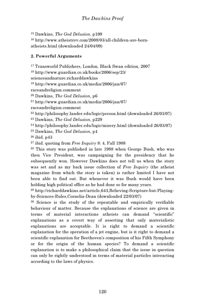# The Dawkins Proof

<sup>15</sup> Dawkins, The God Delusion, p109 16 http://www.atheistrev.com/2008/03/all-children-are-bornatheists.html (downloaded 24/04/09)

#### 2. Powerful Arguments

 Transworld Publishers, London, Black Swan edition, 2007 http://www.guardian.co.uk/books/2006/sep/23/ scienceandnature.richarddawkins http://www.guardian.co.uk/media/2006/jan/07/ raceandreligion.comment Dawkins, The God Delusion, p6 http://www.guardian.co.uk/media/2006/jan/07/ raceandreligion.comment http://philosophy.lander.edu/logic/person.html (downloaded 26/03/07) Dawkins, The God Delusion, p229 http://philosophy.lander.edu/logic/misery.html (downloaded 26/03/07) Dawkins, The God Delusion, p4 ibid. p43 ibid. quoting from Free Inquiry 8: 4, Fall 1988 This story was published in late 1988 when George Bush, who was

then Vice President, was campaigning for the presidency that he subsequently won. However Dawkins does not tell us when the story was set and as my back issue collection of Free Inquiry (the atheist magazine from which the story is taken) is rather limited I have not been able to find out. But whenever it was Bush would have been holding high political office as he had done so for many years.

29 http://richarddawkins.net/article,643,Believing-Scripture-but-Playingby-Sciences-Rules,Cornelia-Dean (downloaded 22/03/07)

<sup>30</sup> Science is the study of the repeatable and empirically verifiable behaviour of matter. Because the explanations of science are given in terms of material interactions atheists can demand "scientific" explanations as a covert way of asserting that only materialistic explanations are acceptable. It is right to demand a scientific explanation for the operation of a jet engine, but is it right to demand a scientific explanation for Beethoven's composition of his Fifth Symphony or for the origin of the human species? To demand a scientific explanation is to make a philosophical claim that the issue in question can only be rightly understood in terms of material particles interacting according to the laws of physics.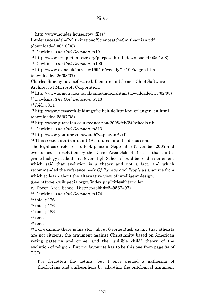<sup>31</sup> http://www.souder.house.gov/\_files/

IntoleranceandthePoliticizationofScienceattheSmithsonian.pdf (downloaded 06/10/08)

<sup>32</sup> Dawkins, The God Delusion, p19

<sup>33</sup> http://www.templetonprize.org/purpose.html (downloaded 03/01/08)

<sup>34</sup> Dawkins, The God Delusion, p100

<sup>35</sup> http://www.ox.ac.uk/gazette/1995-6/weekly/121095/agen.htm (downloaded 26/03/07)

Charles Simonyi is a software billionaire and former Chief Software Architect at Microsoft Corporation.

<sup>36</sup> http://www.simonyi.ox.ac.uk/aims/index.shtml (downloaded 15/02/08)

<sup>37</sup> Dawkins, The God Delusion, p313

<sup>38</sup> ibid. p311

<sup>39</sup> http://www.netzwerk-bildungsfreiheit.de/html/pe\_erlangen\_en.html (downloaded 28/07/08)

<sup>40</sup> http://www.guardian.co.uk/education/2008/feb/24/schools.uk

<sup>41</sup> Dawkins, The God Delusion, p313

<sup>42</sup> http://www.youtube.com/watch?v=pbay-nPxxfI

<sup>43</sup> This section starts around 49 minutes into the discussion.

The legal case referred to took place in September-November 2005 and overturned a resolution by the Dover Area School District that ninthgrade biology students at Dover High School should be read a statement which said that evolution is a theory and not a fact, and which recommended the reference book Of Pandas and People as a source from which to learn about the alternative view of intelligent design.

(See http://en.wikipedia.org/w/index.php?title=Kitzmiller\_

v.\_Dover\_Area\_School\_District&oldid=249567497)

<sup>44</sup> Dawkins, The God Delusion, p174

<sup>45</sup> ibid. p176

<sup>46</sup> ibid. p176

<sup>47</sup> ibid. p188

<sup>48</sup> ibid.

<sup>49</sup> ibid.

<sup>50</sup> For example there is his story about George Bush saying that atheists are not citizens, the argument against Christianity based on American voting patterns and crime, and the "gullible child" theory of the evolution of religion. But my favourite has to be this one from page 84 of TGD:

I've forgotten the details, but I once piqued a gathering of theologians and philosophers by adapting the ontological argument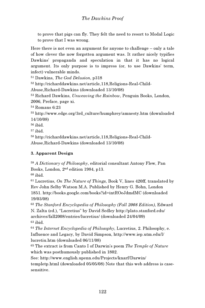to prove that pigs can fly. They felt the need to resort to Modal Logic to prove that I was wrong.

Here there is not even an argument for anyone to challenge – only a tale of how clever the now forgotten argument was. It rather nicely typifies Dawkins' propaganda and speculation in that it has no logical argument. Its only purpose is to impress (or, to use Dawkins' term, infect) vulnerable minds.

<sup>51</sup> Dawkins, The God Delusion, p318

52 http://richarddawkins.net/article,118,Religions-Real-Child-

Abuse,Richard-Dawkins (downloaded 13/10/08)

<sup>53</sup> Richard Dawkins, Unweaving the Rainbow, Penguin Books, London,

2006, Preface, page xi.

<sup>54</sup> Romans 6:23

<sup>55</sup> http://www.edge.org/3rd\_culture/humphrey/amnesty.htm (downloaded 14/10/08)

<sup>56</sup> ibid.

<sup>57</sup> ibid.

58 http://richarddawkins.net/article,118,Religions-Real-Child-Abuse,Richard-Dawkins (downloaded 13/10/08)

# 3. Apparent Design

 $59$  A Dictionary of Philosophy, editorial consultant Antony Flew, Pan Books, London, 2nd edition 1984, p13.

 $60$  ibid.

 $61$  Lucretius, On The Nature of Things, Book V, lines 420ff, translated by Rev John Selby Watson M.A. Published by Henry G. Bohn, London 1851. http://books.google.com/books?id=intROeJdmdMC (downloaded 19/03/08)

<sup>62</sup> The Stanford Encyclopedia of Philosophy (Fall 2008 Edition), Edward N. Zalta (ed.), "Lucretius" by David Sedley http://plato.stanford.edu/ archives/fall2008/entries/lucretius/ (downloaded 24/04/09)  $63$  ibid.

<sup>64</sup> The Internet Encyclopedia of Philosophy, Lucretius, 2. Philosophy, e. Influence and Legacy, by David Simpson, http://www.iep.utm.edu/l/ lucretiu.htm (downloaded 06/11/08)

 $65$  The extract is from Canto I of Darwin's poem The Temple of Nature which was posthumously published in 1802.

See: http://www.english.upenn.edu/Projects/knarf/Darwin/ templetp.html (downloaded 05/05/08) Note that this web address is casesensitive.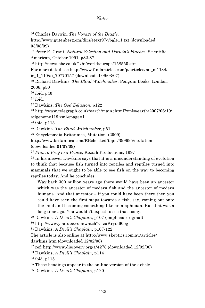<sup>66</sup> Charles Darwin, The Voyage of the Beagle,

http://www.gutenberg.org/dirs/etext97/vbgle11.txt (downloaded 03/08/09)

<sup>67</sup> Peter R. Grant, Natural Selection and Darwin's Finches, Scientific American, October 1991, p82-87

<sup>68</sup> http://news.bbc.co.uk/1/hi/world/europe/158550.stm

For more detail see http://www.findarticles.com/p/articles/mi\_m1134/ is\_1\_110/ai\_70770157 (downloaded 09/03/07)

<sup>69</sup> Richard Dawkins, The Blind Watchmaker, Penguin Books, London, 2006, p50

<sup>70</sup> ibid. p40

 $71$  ibid.

<sup>72</sup> Dawkins, The God Delusion, p122

<sup>73</sup> http://www.telegraph.co.uk/earth/main.jhtml?xml=/earth/2007/06/19/ scigenome119.xml&page=1

<sup>74</sup> ibid. p113

<sup>75</sup> Dawkins, The Blind Watchmaker, p51

<sup>76</sup> Encyclopædia Britannica, Mutation, (2009).

http://www.britannica.com/EBchecked/topic/399695/mutation (downloaded 01/07/09)

<sup>77</sup> From a Frog to a Prince, Keziah Productions, 1997

<sup>78</sup> In his answer Dawkins says that it is a misunderstanding of evolution to think that because fish turned into reptiles and reptiles turned into mammals that we ought to be able to see fish on the way to becoming reptiles today. And he concludes:

Way back 300 million years ago there would have been an ancestor which was the ancestor of modern fish and the ancestor of modern humans. And that ancestor – if you could have been there then you could have seen the first steps towards a fish, say, coming out onto the land and becoming something like an amphibian. But that was a long time ago. You wouldn't expect to see that today.

<sup>79</sup> Dawkins, A Devil's Chaplain, p107 (emphasis original)

<sup>80</sup> http://www.youtube.com/watch?v=zaKryi3605g

<sup>81</sup> Dawkins, A Devil's Chaplain, p107-122

The article is also online at http://www.skeptics.com.au/articles/ dawkins.htm (downloaded 12/02/08)

<sup>82</sup> ref: http://www.discovery.org/a/4278 (downloaded 12/02/08)

<sup>83</sup> Dawkins, A Devil's Chaplain, p114

<sup>84</sup> ibid. p115

<sup>85</sup> These headings appear in the on-line version of the article.

86 Dawkins, A Devil's Chaplain, p120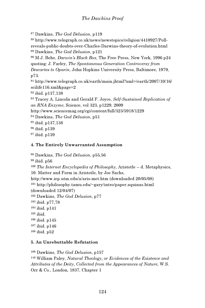Dawkins, The God Delusion, p119 http://www.telegraph.co.uk/news/newstopics/religion/4410927/Pollreveals-public-doubts-over-Charles-Darwins-theory-of-evolution.html Dawkins, The God Delusion, p121 M.J. Behe, Darwin's Black Box, The Free Press, New York, 1996 p24 quoting: J. Farley, The Spontaneous Generation Controversy from Descartes to Oparin, John Hopkins University Press, Baltimore, 1979, p73. http://www.telegraph.co.uk/earth/main.jhtml?xml=/earth/2007/10/16/ scilife116.xml&page=2 ibid. p137,138 Tracey A. Lincoln and Gerald F. Joyce, Self-Sustained Replication of an RNA Enzyme, Science, vol 323, p1229, 2009 http://www.sciencemag.org/cgi/content/full/323/5918/1229 Dawkins, The God Delusion, p51 ibid. p137,138 ibid. p139 ibid. p139

# 4. The Entirely Unwarranted Assumption

 Dawkins, The God Delusion, p55,56 ibid. p56 <sup>100</sup> The Internet Encyclopedia of Philosophy, Aristotle  $-$  d. Metaphysics, 10. Matter and Form in Aristotle, by Joe Sachs, http://www.iep.utm.edu/a/aris-met.htm (downloaded 20/05/08) http://philosophy.tamu.edu/~gary/intro/paper.aquinas.html (downloaded 12/04/07) Dawkins, The God Delusion, p77 ibid. p77,78 ibid. p141  $105$  ibid. ibid. p145 ibid. p146 ibid. p52

# 5. An Unrebuttable Refutation

<sup>109</sup> Dawkins, The God Delusion, p157 <sup>110</sup> William Paley, Natural Theology, or Evidences of the Existence and Attributes of the Deity, Collected from the Appearances of Nature, W.S. Orr & Co., London, 1837, Chapter 1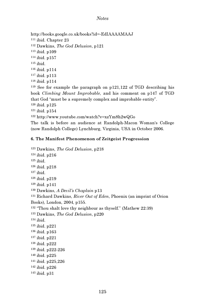http://books.google.co.uk/books?id=-EdIAAAAMAAJ ibid. Chapter 23 Dawkins, The God Delusion, p121 ibid. p109 ibid. p157 ibid. ibid. p114 ibid. p113 ibid. p114 See for example the paragraph on p121,122 of TGD describing his book Climbing Mount Improbable, and his comment on p147 of TGD that God "must be a supremely complex and improbable entity". ibid. p125 ibid. p154 http://www.youtube.com/watch?v=xzYm8h2wQGo The talk is before an audience at Randolph-Macon Woman's College (now Randolph College) Lynchburg, Virginia, USA in October 2006.

#### 6. The Manifest Phenomenon of Zeitgeist Progression

 Dawkins, The God Delusion, p218 ibid. p216 ibid. ibid. p218 ibid. ibid. p219 ibid. p141 Dawkins, A Devil's Chaplain p13 Richard Dawkins, River Out of Eden, Phoenix (an imprint of Orion Books), London, 2004, p155. "Thou shalt love thy neighbour as thyself." (Mathew 22:39) Dawkins, The God Delusion, p220 ibid. ibid. p221 ibid. p163 ibid. p221 ibid. p222 ibid. p222-226 ibid. p225 ibid. p225,226 ibid. p226 ibid. p31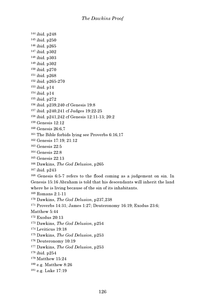ibid. p248 ibid. p250 ibid. p265 ibid. p302 ibid. p303 ibid. p302 ibid. p270 ibid. p268 ibid. p265-270 ibid. p14 ibid. p14 ibid. p272 ibid. p239,240 cf Genesis 19:8 ibid. p240,241 cf Judges 19:22-25 ibid. p241,242 cf Genesis 12:11-13; 20:2 Genesis 12:12 Genesis 26:6,7 The Bible forbids lying see Proverbs 6:16,17 Genesis 17:19; 21:12 Genesis 22:5 Genesis 22:8 Genesis 22:13 Dawkins, The God Delusion, p265 ibid. p243 Genesis 6:5-7 refers to the flood coming as a judgement on sin. In Genesis 15:16 Abraham is told that his descendants will inherit the land where he is living because of the sin of its inhabitants. Romans 2:1-11 Dawkins, The God Delusion, p237,238 Proverbs 14:31; James 1:27; Deuteronomy 16:19; Exodus 23:6; Matthew 5:44 Exodus 20:13 Dawkins, The God Delusion, p254 Leviticus 19:18 Dawkins, The God Delusion, p253 Deuteronomy 10:19 Dawkins, The God Delusion, p253 ibid. p254 Matthew 15:24 e.g. Matthew 8:26 e.g. Luke 17:19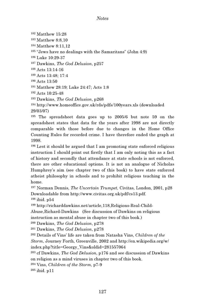<sup>182</sup> Matthew 15:28

<sup>183</sup> Matthew 8:8,10

<sup>184</sup> Matthew 8:11,12

<sup>185</sup> "Jews have no dealings with the Samaritans" (John 4:9)

<sup>186</sup> Luke 10:29-37

<sup>187</sup> Dawkins, The God Delusion, p257

<sup>188</sup> Acts 13:14-16

<sup>189</sup> Acts 13:48; 17:4

<sup>190</sup> Acts 13:50

<sup>191</sup> Matthew 28:19; Luke 24:47; Acts 1:8

<sup>192</sup> Acts 10:25-48

<sup>193</sup> Dawkins, The God Delusion, p268

<sup>194</sup> http://www.homeoffice.gov.uk/rds/pdfs/100years.xls (downloaded 29/03/07)

<sup>195</sup> The spreadsheet data goes up to 2005/6 but note 59 on the spreadsheet states that data for the years after 1998 are not directly comparable with those before due to changes in the Home Office Counting Rules for recorded crime. I have therefore ended the graph at 1998.

<sup>196</sup> Lest it should be argued that I am promoting state enforced religious instruction I should point out firstly that I am only noting this as a fact of history and secondly that attendance at state schools is not enforced, there are other educational options. It is not an analogue of Nicholas Humphrey's aim (see chapter two of this book) to have state enforced atheist philosophy in schools and to prohibit religious teaching in the home.

<sup>197</sup> Norman Dennis, The Uncertain Trumpet, Civitas, London, 2001, p28 Downloadable from http://www.civitas.org.uk/pdf/cs13.pdf.

<sup>198</sup> ibid. p54

199 http://richarddawkins.net/article,118,Religions-Real-Child-

Abuse,Richard-Dawkins (See discussion of Dawkins on religious

instruction as mental abuse in chapter two of this book.)

<sup>200</sup> Dawkins, The God Delusion, p278

<sup>201</sup> Dawkins, The God Delusion, p278

<sup>202</sup> Details of Vins' life are taken from Natasha Vins, Children of the Storm, Journey Forth, Greenville, 2002 and http://en.wikipedia.org/w/ index.php?title=Georgy\_Vins&oldid=281557064

<sup>203</sup> cf Dawkins, *The God Delusion*, p176 and see discussion of Dawkins on religion as a mind viruses in chapter two of this book.

<sup>204</sup> Vins, Children of the Storm, p7-9

205 ibid. p11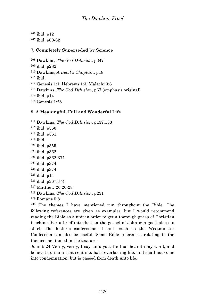ibid. p12 ibid. p80-82

#### 7. Completely Superseded by Science

 Dawkins, The God Delusion, p347 ibid. p282 Dawkins, A Devil's Chaplain, p18 ibid. Genesis 1:1; Hebrews 1:3; Malachi 3:6 Dawkins, The God Delusion, p67 (emphasis original) ibid. p14 Genesis 1:28

### 8. A Meaningful, Full and Wonderful Life

 Dawkins, The God Delusion, p137,138 ibid. p360 ibid. p361 ibid. ibid. p355 ibid. p362 ibid. p362-371 ibid. p374 ibid. p374 ibid. p14 ibid. p367,374 Matthew 26:26-28 Dawkins, The God Delusion, p251 Romans 5:8 The themes I have mentioned run throughout the Bible. The

following references are given as examples, but I would recommend reading the Bible as a unit in order to get a thorough grasp of Christian teaching. For a brief introduction the gospel of John is a good place to start. The historic confessions of faith such as the Westminster Confession can also be useful. Some Bible references relating to the themes mentioned in the text are:

John 5:24 Verily, verily, I say unto you, He that heareth my word, and believeth on him that sent me, hath everlasting life, and shall not come into condemnation; but is passed from death unto life.